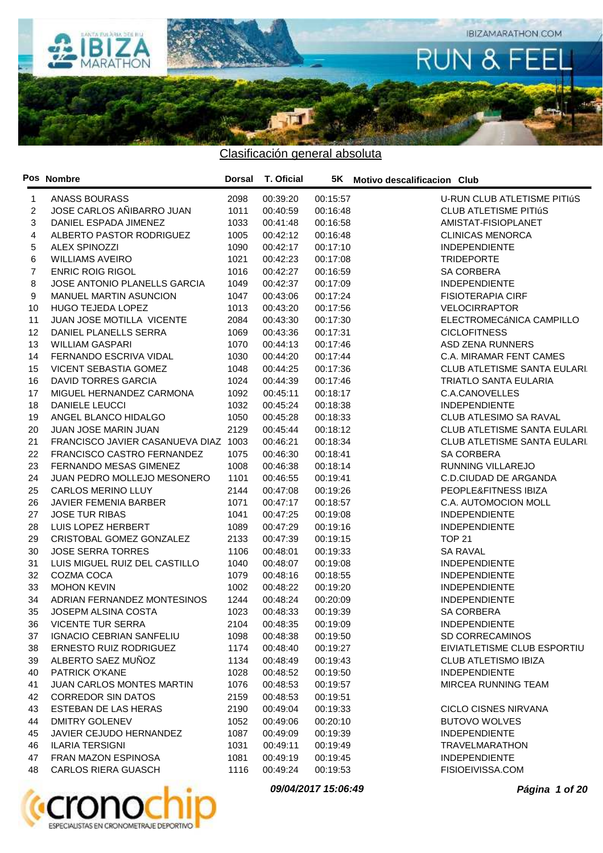

|    | Pos Nombre                           | <b>Dorsal</b> | T. Oficial |          | 5K Motivo descalificacion Club      |
|----|--------------------------------------|---------------|------------|----------|-------------------------------------|
| 1  | <b>ANASS BOURASS</b>                 | 2098          | 00:39:20   | 00:15:57 | U-RUN CLUB ATLETISME PITIÚS         |
| 2  | JOSE CARLOS AÑIBARRO JUAN            | 1011          | 00:40:59   | 00:16:48 | <b>CLUB ATLETISME PITIÚS</b>        |
| 3  | DANIEL ESPADA JIMENEZ                | 1033          | 00:41:48   | 00:16:58 | AMISTAT-FISIOPLANET                 |
| 4  | ALBERTO PASTOR RODRIGUEZ             | 1005          | 00:42:12   | 00:16:48 | <b>CLINICAS MENORCA</b>             |
| 5  | <b>ALEX SPINOZZI</b>                 | 1090          | 00:42:17   | 00:17:10 | <b>INDEPENDIENTE</b>                |
| 6  | <b>WILLIAMS AVEIRO</b>               | 1021          | 00:42:23   | 00:17:08 | <b>TRIDEPORTE</b>                   |
| 7  | <b>ENRIC ROIG RIGOL</b>              | 1016          | 00:42:27   | 00:16:59 | <b>SA CORBERA</b>                   |
| 8  | JOSE ANTONIO PLANELLS GARCIA         | 1049          | 00:42:37   | 00:17:09 | <b>INDEPENDIENTE</b>                |
| 9  | MANUEL MARTIN ASUNCION               | 1047          | 00:43:06   | 00:17:24 | <b>FISIOTERAPIA CIRF</b>            |
| 10 | HUGO TEJEDA LOPEZ                    | 1013          | 00:43:20   | 00:17:56 | <b>VELOCIRRAPTOR</b>                |
| 11 | JUAN JOSE MOTILLA VICENTE            | 2084          | 00:43:30   | 00:17:30 | ELECTROMECÁNICA CAMPILLO            |
| 12 | DANIEL PLANELLS SERRA                | 1069          | 00:43:36   | 00:17:31 | <b>CICLOFITNESS</b>                 |
| 13 | <b>WILLIAM GASPARI</b>               | 1070          | 00:44:13   | 00:17:46 | ASD ZENA RUNNERS                    |
| 14 | FERNANDO ESCRIVA VIDAL               | 1030          | 00:44:20   | 00:17:44 | C.A. MIRAMAR FENT CAMES             |
| 15 | VICENT SEBASTIA GOMEZ                | 1048          | 00:44:25   | 00:17:36 | <b>CLUB ATLETISME SANTA EULARI</b>  |
| 16 | <b>DAVID TORRES GARCIA</b>           | 1024          | 00:44:39   | 00:17:46 | <b>TRIATLO SANTA EULARIA</b>        |
| 17 | MIGUEL HERNANDEZ CARMONA             | 1092          | 00:45:11   | 00:18:17 | C.A.CANOVELLES                      |
| 18 | <b>DANIELE LEUCCI</b>                | 1032          | 00:45:24   | 00:18:38 | <b>INDEPENDIENTE</b>                |
| 19 | ANGEL BLANCO HIDALGO                 | 1050          | 00:45:28   | 00:18:33 | CLUB ATLESIMO SA RAVAL              |
| 20 | JUAN JOSE MARIN JUAN                 | 2129          | 00:45:44   | 00:18:12 | <b>CLUB ATLETISME SANTA EULARI.</b> |
| 21 | FRANCISCO JAVIER CASANUEVA DIAZ 1003 |               | 00:46:21   | 00:18:34 | <b>CLUB ATLETISME SANTA EULARI.</b> |
| 22 | FRANCISCO CASTRO FERNANDEZ           | 1075          | 00:46:30   | 00:18:41 | <b>SA CORBERA</b>                   |
| 23 | FERNANDO MESAS GIMENEZ               | 1008          | 00:46:38   | 00:18:14 | RUNNING VILLAREJO                   |
| 24 | JUAN PEDRO MOLLEJO MESONERO          | 1101          | 00:46:55   | 00:19:41 | C.D.CIUDAD DE ARGANDA               |
| 25 | <b>CARLOS MERINO LLUY</b>            | 2144          | 00:47:08   | 00:19:26 | PEOPLE&FITNESS IBIZA                |
| 26 | JAVIER FEMENIA BARBER                | 1071          | 00:47:17   | 00:18:57 | C.A. AUTOMOCION MOLL                |
| 27 | <b>JOSE TUR RIBAS</b>                | 1041          | 00:47:25   | 00:19:08 | <b>INDEPENDIENTE</b>                |
| 28 | LUIS LOPEZ HERBERT                   | 1089          | 00:47:29   | 00:19:16 | <b>INDEPENDIENTE</b>                |
| 29 | CRISTOBAL GOMEZ GONZALEZ             | 2133          | 00:47:39   | 00:19:15 | <b>TOP 21</b>                       |
| 30 | <b>JOSE SERRA TORRES</b>             | 1106          | 00:48:01   | 00:19:33 | <b>SA RAVAL</b>                     |
| 31 | LUIS MIGUEL RUIZ DEL CASTILLO        | 1040          | 00:48:07   | 00:19:08 | <b>INDEPENDIENTE</b>                |
| 32 | COZMA COCA                           | 1079          | 00:48:16   | 00:18:55 | <b>INDEPENDIENTE</b>                |
| 33 | <b>MOHON KEVIN</b>                   | 1002          | 00:48:22   | 00:19:20 | <b>INDEPENDIENTE</b>                |
| 34 | ADRIAN FERNANDEZ MONTESINOS          | 1244          | 00:48:24   | 00:20:09 | <b>INDEPENDIENTE</b>                |
| 35 | JOSEPM ALSINA COSTA                  | 1023          | 00:48:33   | 00:19:39 | <b>SA CORBERA</b>                   |
| 36 | <b>VICENTE TUR SERRA</b>             | 2104          | 00:48:35   | 00:19:09 | <b>INDEPENDIENTE</b>                |
| 37 | <b>IGNACIO CEBRIAN SANFELIU</b>      | 1098          | 00:48:38   | 00:19:50 | SD CORRECAMINOS                     |
| 38 | ERNESTO RUIZ RODRIGUEZ               | 1174          | 00:48:40   | 00:19:27 | EIVIATLETISME CLUB ESPORTIU         |
| 39 | ALBERTO SAEZ MUÑOZ                   | 1134          | 00:48:49   | 00:19:43 | <b>CLUB ATLETISMO IBIZA</b>         |
| 40 | PATRICK O'KANE                       | 1028          | 00:48:52   | 00:19:50 | <b>INDEPENDIENTE</b>                |
| 41 | JUAN CARLOS MONTES MARTIN            | 1076          | 00:48:53   | 00:19:57 | MIRCEA RUNNING TEAM                 |
| 42 | <b>CORREDOR SIN DATOS</b>            | 2159          | 00:48:53   | 00:19:51 |                                     |
| 43 | ESTEBAN DE LAS HERAS                 | 2190          | 00:49:04   | 00:19:33 | <b>CICLO CISNES NIRVANA</b>         |
| 44 | <b>DMITRY GOLENEV</b>                | 1052          | 00:49:06   | 00:20:10 | <b>BUTOVO WOLVES</b>                |
| 45 | JAVIER CEJUDO HERNANDEZ              | 1087          | 00:49:09   | 00:19:39 | <b>INDEPENDIENTE</b>                |
| 46 | <b>ILARIA TERSIGNI</b>               | 1031          | 00:49:11   | 00:19:49 | TRAVELMARATHON                      |
| 47 | FRAN MAZON ESPINOSA                  | 1081          | 00:49:19   | 00:19:45 | <b>INDEPENDIENTE</b>                |
| 48 | <b>CARLOS RIERA GUASCH</b>           | 1116          | 00:49:24   | 00:19:53 | FISIOEIVISSA.COM                    |



**09/04/2017 15:06:49 Página 1 of 20**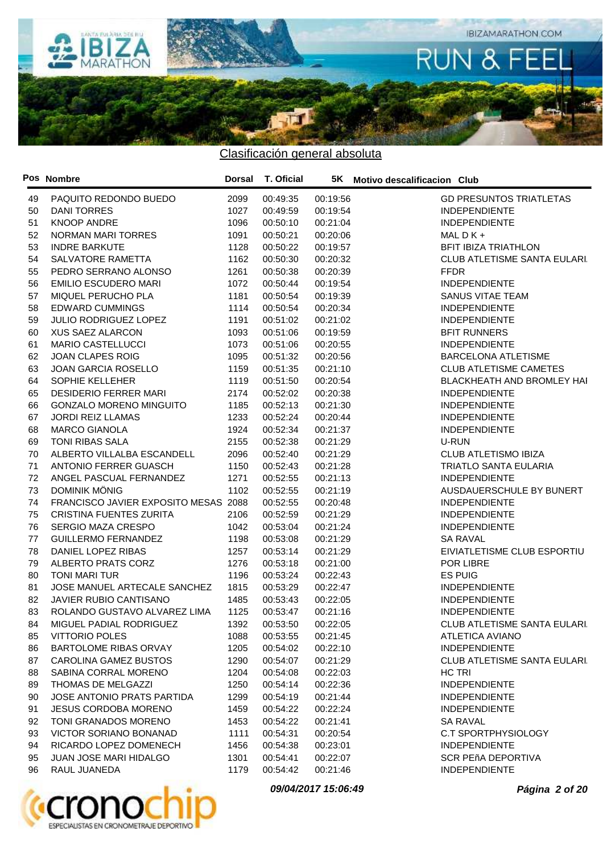

|    | Pos Nombre                                       | Dorsal | T. Oficial |          | 5K Motivo descalificacion Club      |
|----|--------------------------------------------------|--------|------------|----------|-------------------------------------|
| 49 | PAQUITO REDONDO BUEDO                            | 2099   | 00:49:35   | 00:19:56 | <b>GD PRESUNTOS TRIATLETAS</b>      |
| 50 | <b>DANI TORRES</b>                               | 1027   | 00:49:59   | 00:19:54 | <b>INDEPENDIENTE</b>                |
| 51 | <b>KNOOP ANDRE</b>                               | 1096   | 00:50:10   | 00:21:04 | <b>INDEPENDIENTE</b>                |
| 52 | NORMAN MARI TORRES                               | 1091   | 00:50:21   | 00:20:06 | MAL $D$ K +                         |
| 53 | <b>INDRE BARKUTE</b>                             | 1128   | 00:50:22   | 00:19:57 | <b>BFIT IBIZA TRIATHLON</b>         |
| 54 | SALVATORE RAMETTA                                | 1162   | 00:50:30   | 00:20:32 | <b>CLUB ATLETISME SANTA EULARI.</b> |
| 55 | PEDRO SERRANO ALONSO                             | 1261   | 00:50:38   | 00:20:39 | <b>FFDR</b>                         |
| 56 | <b>EMILIO ESCUDERO MARI</b>                      | 1072   | 00:50:44   | 00:19:54 | <b>INDEPENDIENTE</b>                |
| 57 | MIQUEL PERUCHO PLA                               | 1181   | 00:50:54   | 00:19:39 | SANUS VITAE TEAM                    |
| 58 | <b>EDWARD CUMMINGS</b>                           | 1114   | 00:50:54   | 00:20:34 | <b>INDEPENDIENTE</b>                |
| 59 | JULIO RODRIGUEZ LOPEZ                            | 1191   | 00:51:02   | 00:21:02 | <b>INDEPENDIENTE</b>                |
| 60 | <b>XUS SAEZ ALARCON</b>                          | 1093   | 00:51:06   | 00:19:59 | <b>BFIT RUNNERS</b>                 |
| 61 | <b>MARIO CASTELLUCCI</b>                         | 1073   | 00:51:06   | 00:20:55 | <b>INDEPENDIENTE</b>                |
| 62 | <b>JOAN CLAPES ROIG</b>                          | 1095   | 00:51:32   | 00:20:56 | <b>BARCELONA ATLETISME</b>          |
| 63 | <b>JOAN GARCIA ROSELLO</b>                       | 1159   | 00:51:35   | 00:21:10 | <b>CLUB ATLETISME CAMETES</b>       |
| 64 | SOPHIE KELLEHER                                  | 1119   | 00:51:50   | 00:20:54 | BLACKHEATH AND BROMLEY HAI          |
| 65 | <b>DESIDERIO FERRER MARI</b>                     | 2174   | 00:52:02   | 00:20:38 | <b>INDEPENDIENTE</b>                |
| 66 | <b>GONZALO MORENO MINGUITO</b>                   | 1185   | 00:52:13   | 00:21:30 | <b>INDEPENDIENTE</b>                |
| 67 | <b>JORDI REIZ LLAMAS</b>                         | 1233   | 00:52:24   | 00:20:44 | <b>INDEPENDIENTE</b>                |
| 68 | <b>MARCO GIANOLA</b>                             | 1924   | 00:52:34   | 00:21:37 | <b>INDEPENDIENTE</b>                |
| 69 | TONI RIBAS SALA                                  | 2155   | 00:52:38   | 00:21:29 | U-RUN                               |
| 70 | ALBERTO VILLALBA ESCANDELL                       | 2096   | 00:52:40   | 00:21:29 | <b>CLUB ATLETISMO IBIZA</b>         |
| 71 | <b>ANTONIO FERRER GUASCH</b>                     | 1150   | 00:52:43   | 00:21:28 | <b>TRIATLO SANTA EULARIA</b>        |
| 72 | ANGEL PASCUAL FERNANDEZ                          | 1271   | 00:52:55   | 00:21:13 | <b>INDEPENDIENTE</b>                |
| 73 | DOMINIK MÖNIG                                    | 1102   | 00:52:55   | 00:21:19 | AUSDAUERSCHULE BY BUNERT            |
| 74 | FRANCISCO JAVIER EXPOSITO MESAS 2088             |        | 00:52:55   | 00:20:48 | <b>INDEPENDIENTE</b>                |
| 75 | <b>CRISTINA FUENTES ZURITA</b>                   | 2106   | 00:52:59   | 00:21:29 | <b>INDEPENDIENTE</b>                |
| 76 | <b>SERGIO MAZA CRESPO</b>                        | 1042   | 00:53:04   | 00:21:24 | <b>INDEPENDIENTE</b>                |
| 77 | <b>GUILLERMO FERNANDEZ</b>                       | 1198   | 00:53:08   | 00:21:29 | <b>SA RAVAL</b>                     |
| 78 | DANIEL LOPEZ RIBAS                               | 1257   | 00:53:14   | 00:21:29 | EIVIATLETISME CLUB ESPORTIU         |
| 79 | <b>ALBERTO PRATS CORZ</b>                        | 1276   | 00:53:18   | 00:21:00 | POR LIBRE                           |
| 80 | TONI MARI TUR                                    | 1196   | 00:53:24   | 00:22:43 | <b>ES PUIG</b>                      |
| 81 | JOSE MANUEL ARTECALE SANCHEZ                     | 1815   | 00:53:29   | 00:22:47 | <b>INDEPENDIENTE</b>                |
| 82 | JAVIER RUBIO CANTISANO                           | 1485   | 00:53:43   | 00:22:05 | <b>INDEPENDIENTE</b>                |
| 83 | ROLANDO GUSTAVO ALVAREZ LIMA                     | 1125   | 00:53:47   | 00:21:16 | <b>INDEPENDIENTE</b>                |
|    |                                                  | 1392   |            |          | CLUB ATLETISME SANTA EULARI.        |
| 84 | MIGUEL PADIAL RODRIGUEZ<br><b>VITTORIO POLES</b> |        | 00:53:50   | 00:22:05 | ATLETICA AVIANO                     |
| 85 |                                                  | 1088   | 00:53:55   | 00:21:45 | <b>INDEPENDIENTE</b>                |
| 86 | BARTOLOME RIBAS ORVAY                            | 1205   | 00:54:02   | 00:22:10 |                                     |
| 87 | CAROLINA GAMEZ BUSTOS                            | 1290   | 00:54:07   | 00:21:29 | CLUB ATLETISME SANTA EULARI.        |
| 88 | SABINA CORRAL MORENO                             | 1204   | 00:54:08   | 00:22:03 | HC TRI                              |
| 89 | THOMAS DE MELGAZZI                               | 1250   | 00:54:14   | 00:22:36 | <b>INDEPENDIENTE</b>                |
| 90 | JOSE ANTONIO PRATS PARTIDA                       | 1299   | 00:54:19   | 00:21:44 | <b>INDEPENDIENTE</b>                |
| 91 | <b>JESUS CORDOBA MORENO</b>                      | 1459   | 00:54:22   | 00:22:24 | <b>INDEPENDIENTE</b>                |
| 92 | TONI GRANADOS MORENO                             | 1453   | 00:54:22   | 00:21:41 | <b>SA RAVAL</b>                     |
| 93 | VICTOR SORIANO BONANAD                           | 1111   | 00:54:31   | 00:20:54 | C.T SPORTPHYSIOLOGY                 |
| 94 | RICARDO LOPEZ DOMENECH                           | 1456   | 00:54:38   | 00:23:01 | <b>INDEPENDIENTE</b>                |
| 95 | <b>JUAN JOSE MARI HIDALGO</b>                    | 1301   | 00:54:41   | 00:22:07 | <b>SCR PEñA DEPORTIVA</b>           |
| 96 | RAUL JUANEDA                                     | 1179   | 00:54:42   | 00:21:46 | <b>INDEPENDIENTE</b>                |



**09/04/2017 15:06:49 Página 2 of 20**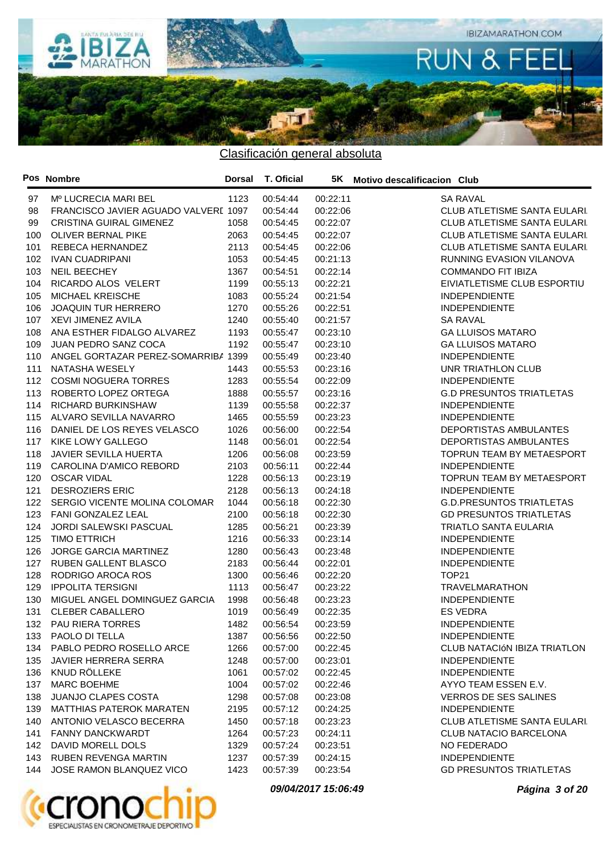

|     | Pos Nombre                           | <b>Dorsal</b> | <b>T. Oficial</b> |          | 5K Motivo descalificacion Club     |
|-----|--------------------------------------|---------------|-------------------|----------|------------------------------------|
| 97  | Mº LUCRECIA MARI BEL                 | 1123          | 00:54:44          | 00:22:11 | <b>SA RAVAL</b>                    |
| 98  | FRANCISCO JAVIER AGUADO VALVERI 1097 |               | 00:54:44          | 00:22:06 | CLUB ATLETISME SANTA EULARI.       |
| 99  | <b>CRISTINA GUIRAL GIMENEZ</b>       | 1058          | 00:54:45          | 00:22:07 | <b>CLUB ATLETISME SANTA EULARI</b> |
| 100 | OLIVER BERNAL PIKE                   | 2063          | 00:54:45          | 00:22:07 | <b>CLUB ATLETISME SANTA EULARI</b> |
| 101 | REBECA HERNANDEZ                     | 2113          | 00:54:45          | 00:22:06 | <b>CLUB ATLETISME SANTA EULARI</b> |
| 102 | <b>IVAN CUADRIPANI</b>               | 1053          | 00:54:45          | 00:21:13 | RUNNING EVASION VILANOVA           |
| 103 | <b>NEIL BEECHEY</b>                  | 1367          | 00:54:51          | 00:22:14 | <b>COMMANDO FIT IBIZA</b>          |
| 104 | RICARDO ALOS VELERT                  | 1199          | 00:55:13          | 00:22:21 | EIVIATLETISME CLUB ESPORTIU        |
| 105 | MICHAEL KREISCHE                     | 1083          | 00:55:24          | 00:21:54 | <b>INDEPENDIENTE</b>               |
| 106 | <b>JOAQUIN TUR HERRERO</b>           | 1270          | 00:55:26          | 00:22:51 | <b>INDEPENDIENTE</b>               |
| 107 | XEVI JIMENEZ AVILA                   | 1240          | 00:55:40          | 00:21:57 | <b>SA RAVAL</b>                    |
| 108 | ANA ESTHER FIDALGO ALVAREZ           | 1193          | 00:55:47          | 00:23:10 | <b>GA LLUISOS MATARO</b>           |
| 109 | JUAN PEDRO SANZ COCA                 | 1192          | 00:55:47          | 00:23:10 | <b>GA LLUISOS MATARO</b>           |
| 110 | ANGEL GORTAZAR PEREZ-SOMARRIBA 1399  |               | 00:55:49          | 00:23:40 | <b>INDEPENDIENTE</b>               |
| 111 | NATASHA WESELY                       | 1443          | 00:55:53          | 00:23:16 | UNR TRIATHLON CLUB                 |
| 112 | <b>COSMI NOGUERA TORRES</b>          | 1283          | 00:55:54          | 00:22:09 | <b>INDEPENDIENTE</b>               |
| 113 | ROBERTO LOPEZ ORTEGA                 | 1888          | 00:55:57          |          | <b>G.D PRESUNTOS TRIATLETAS</b>    |
| 114 | RICHARD BURKINSHAW                   | 1139          |                   | 00:23:16 | <b>INDEPENDIENTE</b>               |
|     |                                      |               | 00:55:58          | 00:22:37 |                                    |
| 115 | ALVARO SEVILLA NAVARRO               | 1465          | 00:55:59          | 00:23:23 | <b>INDEPENDIENTE</b>               |
| 116 | DANIEL DE LOS REYES VELASCO          | 1026          | 00:56:00          | 00:22:54 | DEPORTISTAS AMBULANTES             |
| 117 | KIKE LOWY GALLEGO                    | 1148          | 00:56:01          | 00:22:54 | DEPORTISTAS AMBULANTES             |
| 118 | JAVIER SEVILLA HUERTA                | 1206          | 00:56:08          | 00:23:59 | TOPRUN TEAM BY METAESPORT          |
| 119 | CAROLINA D'AMICO REBORD              | 2103          | 00:56:11          | 00:22:44 | <b>INDEPENDIENTE</b>               |
| 120 | <b>OSCAR VIDAL</b>                   | 1228          | 00:56:13          | 00:23:19 | TOPRUN TEAM BY METAESPORT          |
| 121 | <b>DESROZIERS ERIC</b>               | 2128          | 00:56:13          | 00:24:18 | <b>INDEPENDIENTE</b>               |
| 122 | SERGIO VICENTE MOLINA COLOMAR        | 1044          | 00:56:18          | 00:22:30 | <b>G.D.PRESUNTOS TRIATLETAS</b>    |
| 123 | FANI GONZALEZ LEAL                   | 2100          | 00:56:18          | 00:22:30 | <b>GD PRESUNTOS TRIATLETAS</b>     |
| 124 | JORDI SALEWSKI PASCUAL               | 1285          | 00:56:21          | 00:23:39 | <b>TRIATLO SANTA EULARIA</b>       |
| 125 | <b>TIMO ETTRICH</b>                  | 1216          | 00:56:33          | 00:23:14 | <b>INDEPENDIENTE</b>               |
| 126 | JORGE GARCIA MARTINEZ                | 1280          | 00:56:43          | 00:23:48 | <b>INDEPENDIENTE</b>               |
| 127 | RUBEN GALLENT BLASCO                 | 2183          | 00:56:44          | 00:22:01 | <b>INDEPENDIENTE</b>               |
| 128 | RODRIGO AROCA ROS                    | 1300          | 00:56:46          | 00:22:20 | <b>TOP21</b>                       |
| 129 | <b>IPPOLITA TERSIGNI</b>             | 1113          | 00:56:47          | 00:23:22 | <b>TRAVELMARATHON</b>              |
| 130 | MIGUEL ANGEL DOMINGUEZ GARCIA        | 1998          | 00:56:48          | 00:23:23 | <b>INDEPENDIENTE</b>               |
| 131 | <b>CLEBER CABALLERO</b>              | 1019          | 00:56:49          | 00:22:35 | <b>ES VEDRA</b>                    |
|     | 132 PAU RIERA TORRES                 | 1482          | 00:56:54          | 00:23:59 | <b>INDEPENDIENTE</b>               |
|     | 133 PAOLO DI TELLA                   | 1387          | 00:56:56          | 00:22:50 | <b>INDEPENDIENTE</b>               |
|     | 134 PABLO PEDRO ROSELLO ARCE         | 1266          | 00:57:00          | 00:22:45 | CLUB NATACIÓN IBIZA TRIATLON       |
| 135 | JAVIER HERRERA SERRA                 | 1248          | 00:57:00          | 00:23:01 | <b>INDEPENDIENTE</b>               |
|     | 136 KNUD RÖLLEKE                     | 1061          | 00:57:02          | 00:22:45 | <b>INDEPENDIENTE</b>               |
| 137 | MARC BOEHME                          | 1004          | 00:57:02          | 00:22:46 | AYYO TEAM ESSEN E.V.               |
| 138 | JUANJO CLAPES COSTA                  | 1298          | 00:57:08          | 00:23:08 | <b>VERROS DE SES SALINES</b>       |
| 139 | <b>MATTHIAS PATEROK MARATEN</b>      | 2195          | 00:57:12          | 00:24:25 | <b>INDEPENDIENTE</b>               |
| 140 | ANTONIO VELASCO BECERRA              | 1450          | 00:57:18          | 00:23:23 | <b>CLUB ATLETISME SANTA EULARI</b> |
| 141 | FANNY DANCKWARDT                     | 1264          | 00:57:23          | 00:24:11 | <b>CLUB NATACIO BARCELONA</b>      |
| 142 | DAVID MORELL DOLS                    | 1329          | 00:57:24          | 00:23:51 | NO FEDERADO                        |
| 143 | <b>RUBEN REVENGA MARTIN</b>          | 1237          | 00:57:39          | 00:24:15 | <b>INDEPENDIENTE</b>               |
| 144 | JOSE RAMON BLANQUEZ VICO             | 1423          | 00:57:39          | 00:23:54 | <b>GD PRESUNTOS TRIATLETAS</b>     |



**09/04/2017 15:06:49 Página 3 of 20**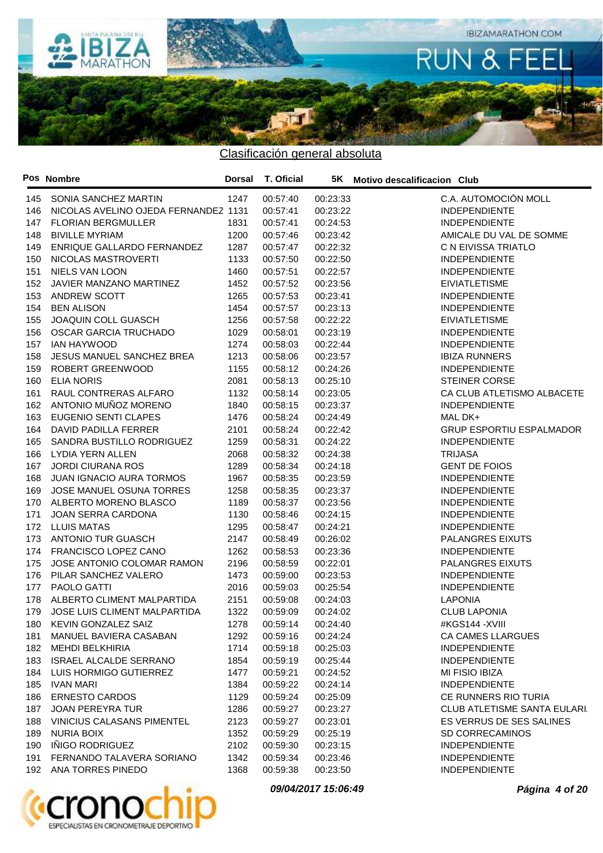

Clasificación general absoluta

|     | Pos Nombre                           | <b>Dorsal</b> | T. Oficial |          | 5K Motivo descalificacion Club     |
|-----|--------------------------------------|---------------|------------|----------|------------------------------------|
| 145 | SONIA SANCHEZ MARTIN                 | 1247          | 00:57:40   | 00:23:33 | C.A. AUTOMOCIÓN MOLL               |
| 146 | NICOLAS AVELINO OJEDA FERNANDEZ 1131 |               | 00:57:41   | 00:23:22 | <b>INDEPENDIENTE</b>               |
| 147 | <b>FLORIAN BERGMULLER</b>            | 1831          | 00:57:41   | 00:24:53 | <b>INDEPENDIENTE</b>               |
| 148 | <b>BIVILLE MYRIAM</b>                | 1200          | 00:57:46   | 00:23:42 | AMICALE DU VAL DE SOMME            |
| 149 | ENRIQUE GALLARDO FERNANDEZ           | 1287          | 00:57:47   | 00:22:32 | C N EIVISSA TRIATLO                |
| 150 | NICOLAS MASTROVERTI                  | 1133          | 00:57:50   | 00:22:50 | <b>INDEPENDIENTE</b>               |
| 151 | <b>NIELS VAN LOON</b>                | 1460          | 00:57:51   | 00:22:57 | <b>INDEPENDIENTE</b>               |
| 152 | JAVIER MANZANO MARTINEZ              | 1452          | 00:57:52   | 00:23:56 | <b>EIVIATLETISME</b>               |
| 153 | ANDREW SCOTT                         | 1265          | 00:57:53   | 00:23:41 | <b>INDEPENDIENTE</b>               |
| 154 | <b>BEN ALISON</b>                    | 1454          | 00:57:57   | 00:23:13 | <b>INDEPENDIENTE</b>               |
| 155 | JOAQUIN COLL GUASCH                  | 1256          | 00:57:58   | 00:22:22 | <b>EIVIATLETISME</b>               |
| 156 | OSCAR GARCIA TRUCHADO                | 1029          | 00:58:01   | 00:23:19 | <b>INDEPENDIENTE</b>               |
| 157 | <b>IAN HAYWOOD</b>                   | 1274          | 00:58:03   | 00:22:44 | <b>INDEPENDIENTE</b>               |
| 158 | JESUS MANUEL SANCHEZ BREA            | 1213          | 00:58:06   | 00:23:57 | <b>IBIZA RUNNERS</b>               |
| 159 | ROBERT GREENWOOD                     | 1155          | 00:58:12   | 00:24:26 | <b>INDEPENDIENTE</b>               |
| 160 | <b>ELIA NORIS</b>                    | 2081          | 00:58:13   | 00:25:10 | <b>STEINER CORSE</b>               |
| 161 | RAUL CONTRERAS ALFARO                | 1132          | 00:58:14   | 00:23:05 | CA CLUB ATLETISMO ALBACETE         |
| 162 | ANTONIO MUÑOZ MORENO                 | 1840          | 00:58:15   | 00:23:37 | <b>INDEPENDIENTE</b>               |
| 163 | <b>EUGENIO SENTI CLAPES</b>          | 1476          | 00:58:24   | 00:24:49 | MAL DK+                            |
| 164 | DAVID PADILLA FERRER                 | 2101          | 00:58:24   | 00:22:42 | <b>GRUP ESPORTIU ESPALMADOR</b>    |
| 165 | SANDRA BUSTILLO RODRIGUEZ            | 1259          | 00:58:31   | 00:24:22 | <b>INDEPENDIENTE</b>               |
| 166 | LYDIA YERN ALLEN                     | 2068          | 00:58:32   | 00:24:38 | <b>TRIJASA</b>                     |
| 167 | <b>JORDI CIURANA ROS</b>             | 1289          | 00:58:34   | 00:24:18 | <b>GENT DE FOIOS</b>               |
| 168 | <b>JUAN IGNACIO AURA TORMOS</b>      | 1967          | 00:58:35   | 00:23:59 | <b>INDEPENDIENTE</b>               |
| 169 | JOSE MANUEL OSUNA TORRES             | 1258          | 00:58:35   | 00:23:37 | <b>INDEPENDIENTE</b>               |
| 170 | ALBERTO MORENO BLASCO                | 1189          | 00:58:37   | 00:23:56 | <b>INDEPENDIENTE</b>               |
| 171 | JOAN SERRA CARDONA                   | 1130          | 00:58:46   | 00:24:15 | <b>INDEPENDIENTE</b>               |
| 172 | <b>LLUIS MATAS</b>                   | 1295          | 00:58:47   | 00:24:21 | <b>INDEPENDIENTE</b>               |
| 173 | <b>ANTONIO TUR GUASCH</b>            | 2147          | 00:58:49   | 00:26:02 | PALANGRES EIXUTS                   |
| 174 | FRANCISCO LOPEZ CANO                 | 1262          | 00:58:53   | 00:23:36 | <b>INDEPENDIENTE</b>               |
| 175 | JOSE ANTONIO COLOMAR RAMON           | 2196          | 00:58:59   | 00:22:01 | PALANGRES EIXUTS                   |
| 176 | PILAR SANCHEZ VALERO                 | 1473          | 00:59:00   | 00:23:53 | <b>INDEPENDIENTE</b>               |
| 177 | PAOLO GATTI                          | 2016          | 00:59:03   | 00:25:54 | <b>INDEPENDIENTE</b>               |
| 178 | ALBERTO CLIMENT MALPARTIDA           | 2151          | 00:59:08   | 00:24:03 | <b>LAPONIA</b>                     |
| 179 | JOSE LUIS CLIMENT MALPARTIDA         | 1322          | 00:59:09   | 00:24:02 | <b>CLUB LAPONIA</b>                |
|     | 180 KEVIN GONZALEZ SAIZ              | 1278          | 00:59:14   | 00:24:40 | #KGS144 -XVIII                     |
|     | 181 MANUEL BAVIERA CASABAN           | 1292          | 00:59:16   | 00:24:24 | CA CAMES LLARGUES                  |
|     | 182 MEHDI BELKHIRIA                  | 1714          | 00:59:18   | 00:25:03 | <b>INDEPENDIENTE</b>               |
| 183 | <b>ISRAEL ALCALDE SERRANO</b>        | 1854          | 00:59:19   | 00:25:44 | <b>INDEPENDIENTE</b>               |
| 184 | LUIS HORMIGO GUTIERREZ               | 1477          | 00:59:21   | 00:24:52 | MI FISIO IBIZA                     |
| 185 | IVAN MARI                            | 1384          | 00:59:22   | 00:24:14 | <b>INDEPENDIENTE</b>               |
| 186 | <b>ERNESTO CARDOS</b>                | 1129          | 00:59:24   | 00:25:09 | CE RUNNERS RIO TURIA               |
| 187 | JOAN PEREYRA TUR                     | 1286          | 00:59:27   | 00:23:27 | <b>CLUB ATLETISME SANTA EULARI</b> |
| 188 | <b>VINICIUS CALASANS PIMENTEL</b>    | 2123          | 00:59:27   | 00:23:01 | ES VERRUS DE SES SALINES           |
| 189 | <b>NURIA BOIX</b>                    | 1352          | 00:59:29   | 00:25:19 | <b>SD CORRECAMINOS</b>             |
| 190 | IÑIGO RODRIGUEZ                      | 2102          | 00:59:30   | 00:23:15 | <b>INDEPENDIENTE</b>               |
| 191 | FERNANDO TALAVERA SORIANO            | 1342          | 00:59:34   | 00:23:46 | <b>INDEPENDIENTE</b>               |
|     | 192 ANA TORRES PINEDO                | 1368          | 00:59:38   | 00:23:50 | <b>INDEPENDIENTE</b>               |



**09/04/2017 15:06:49 Página 4 of 20**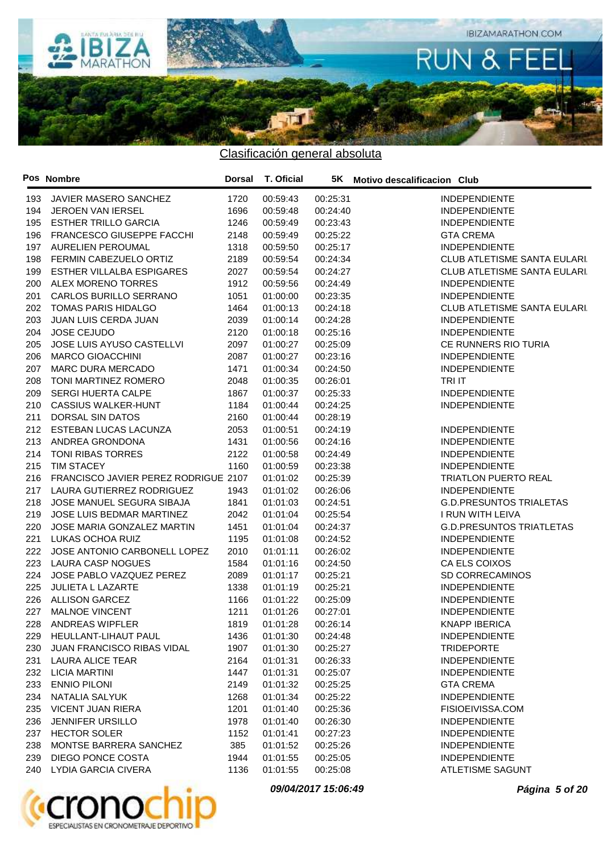

|     | Pos Nombre                           | <b>Dorsal</b> | T. Oficial |          | 5K Motivo descalificacion Club      |
|-----|--------------------------------------|---------------|------------|----------|-------------------------------------|
| 193 | JAVIER MASERO SANCHEZ                | 1720          | 00:59:43   | 00:25:31 | <b>INDEPENDIENTE</b>                |
| 194 | JEROEN VAN IERSEL                    | 1696          | 00:59:48   | 00:24:40 | <b>INDEPENDIENTE</b>                |
| 195 | <b>ESTHER TRILLO GARCIA</b>          | 1246          | 00:59:49   | 00:23:43 | <b>INDEPENDIENTE</b>                |
| 196 | FRANCESCO GIUSEPPE FACCHI            | 2148          | 00:59:49   | 00:25:22 | <b>GTA CREMA</b>                    |
| 197 | <b>AURELIEN PEROUMAL</b>             | 1318          | 00:59:50   | 00:25:17 | <b>INDEPENDIENTE</b>                |
| 198 | FERMIN CABEZUELO ORTIZ               | 2189          | 00:59:54   | 00:24:34 | <b>CLUB ATLETISME SANTA EULARI.</b> |
| 199 | ESTHER VILLALBA ESPIGARES            | 2027          | 00:59:54   | 00:24:27 | <b>CLUB ATLETISME SANTA EULARI.</b> |
| 200 | <b>ALEX MORENO TORRES</b>            | 1912          | 00:59:56   | 00:24:49 | <b>INDEPENDIENTE</b>                |
| 201 | CARLOS BURILLO SERRANO               | 1051          | 01:00:00   | 00:23:35 | <b>INDEPENDIENTE</b>                |
| 202 | <b>TOMAS PARIS HIDALGO</b>           | 1464          | 01:00:13   | 00:24:18 | <b>CLUB ATLETISME SANTA EULARI</b>  |
| 203 | JUAN LUIS CERDA JUAN                 | 2039          | 01:00:14   | 00:24:28 | <b>INDEPENDIENTE</b>                |
| 204 | <b>JOSE CEJUDO</b>                   | 2120          | 01:00:18   | 00:25:16 | <b>INDEPENDIENTE</b>                |
| 205 | JOSE LUIS AYUSO CASTELLVI            | 2097          | 01:00:27   | 00:25:09 | CE RUNNERS RIO TURIA                |
| 206 | <b>MARCO GIOACCHINI</b>              | 2087          | 01:00:27   | 00:23:16 | <b>INDEPENDIENTE</b>                |
| 207 | <b>MARC DURA MERCADO</b>             | 1471          | 01:00:34   | 00:24:50 | <b>INDEPENDIENTE</b>                |
| 208 | TONI MARTINEZ ROMERO                 | 2048          | 01:00:35   | 00:26:01 | <b>TRI IT</b>                       |
| 209 | <b>SERGI HUERTA CALPE</b>            | 1867          | 01:00:37   | 00:25:33 | <b>INDEPENDIENTE</b>                |
| 210 | <b>CASSIUS WALKER-HUNT</b>           | 1184          | 01:00:44   | 00:24:25 | <b>INDEPENDIENTE</b>                |
| 211 | DORSAL SIN DATOS                     | 2160          | 01:00:44   | 00:28:19 |                                     |
| 212 | ESTEBAN LUCAS LACUNZA                | 2053          | 01:00:51   | 00:24:19 | <b>INDEPENDIENTE</b>                |
| 213 | ANDREA GRONDONA                      | 1431          | 01:00:56   | 00:24:16 | <b>INDEPENDIENTE</b>                |
| 214 | TONI RIBAS TORRES                    | 2122          | 01:00:58   | 00:24:49 | <b>INDEPENDIENTE</b>                |
| 215 | <b>TIM STACEY</b>                    | 1160          | 01:00:59   | 00:23:38 | <b>INDEPENDIENTE</b>                |
| 216 | FRANCISCO JAVIER PEREZ RODRIGUE 2107 |               | 01:01:02   | 00:25:39 | <b>TRIATLON PUERTO REAL</b>         |
| 217 | LAURA GUTIERREZ RODRIGUEZ            | 1943          | 01:01:02   | 00:26:06 | <b>INDEPENDIENTE</b>                |
| 218 | JOSE MANUEL SEGURA SIBAJA            | 1841          | 01:01:03   | 00:24:51 | <b>G.D.PRESUNTOS TRIALETAS</b>      |
| 219 | JOSE LUIS BEDMAR MARTINEZ            | 2042          | 01:01:04   | 00:25:54 | I RUN WITH LEIVA                    |
| 220 | JOSE MARIA GONZALEZ MARTIN           | 1451          | 01:01:04   | 00:24:37 | <b>G.D.PRESUNTOS TRIATLETAS</b>     |
| 221 | LUKAS OCHOA RUIZ                     | 1195          | 01:01:08   | 00:24:52 | <b>INDEPENDIENTE</b>                |
| 222 | JOSE ANTONIO CARBONELL LOPEZ         | 2010          | 01:01:11   | 00:26:02 | <b>INDEPENDIENTE</b>                |
| 223 | LAURA CASP NOGUES                    | 1584          | 01:01:16   | 00:24:50 | CA ELS COIXOS                       |
| 224 | JOSE PABLO VAZQUEZ PEREZ             | 2089          | 01:01:17   | 00:25:21 | SD CORRECAMINOS                     |
| 225 | JULIETA L LAZARTE                    | 1338          | 01:01:19   | 00:25:21 | <b>INDEPENDIENTE</b>                |
| 226 | <b>ALLISON GARCEZ</b>                | 1166          | 01:01:22   | 00:25:09 | <b>INDEPENDIENTE</b>                |
| 227 | MALNOE VINCENT                       | 1211          | 01:01:26   | 00:27:01 | <b>INDEPENDIENTE</b>                |
| 228 | ANDREAS WIPFLER                      | 1819          | 01:01:28   | 00:26:14 | <b>KNAPP IBERICA</b>                |
|     | 229 HEULLANT-LIHAUT PAUL             | 1436          | 01:01:30   | 00:24:48 | <b>INDEPENDIENTE</b>                |
| 230 | <b>JUAN FRANCISCO RIBAS VIDAL</b>    | 1907          | 01:01:30   | 00:25:27 | <b>TRIDEPORTE</b>                   |
| 231 | LAURA ALICE TEAR                     | 2164          | 01:01:31   | 00:26:33 | <b>INDEPENDIENTE</b>                |
|     | 232 LICIA MARTINI                    | 1447          | 01:01:31   | 00:25:07 | <b>INDEPENDIENTE</b>                |
| 233 | <b>ENNIO PILONI</b>                  | 2149          | 01:01:32   | 00:25:25 | <b>GTA CREMA</b>                    |
| 234 | NATALIA SALYUK                       | 1268          | 01:01:34   | 00:25:22 | <b>INDEPENDIENTE</b>                |
| 235 | <b>VICENT JUAN RIERA</b>             | 1201          | 01:01:40   | 00:25:36 | FISIOEIVISSA.COM                    |
| 236 | <b>JENNIFER URSILLO</b>              | 1978          | 01:01:40   | 00:26:30 | <b>INDEPENDIENTE</b>                |
| 237 | <b>HECTOR SOLER</b>                  | 1152          | 01:01:41   | 00:27:23 | <b>INDEPENDIENTE</b>                |
| 238 | MONTSE BARRERA SANCHEZ               | 385           | 01:01:52   | 00:25:26 | <b>INDEPENDIENTE</b>                |
| 239 | DIEGO PONCE COSTA                    | 1944          | 01:01:55   | 00:25:05 | <b>INDEPENDIENTE</b>                |
| 240 | LYDIA GARCIA CIVERA                  | 1136          | 01:01:55   | 00:25:08 | <b>ATLETISME SAGUNT</b>             |
|     |                                      |               |            |          |                                     |



**09/04/2017 15:06:49 Página 5 of 20**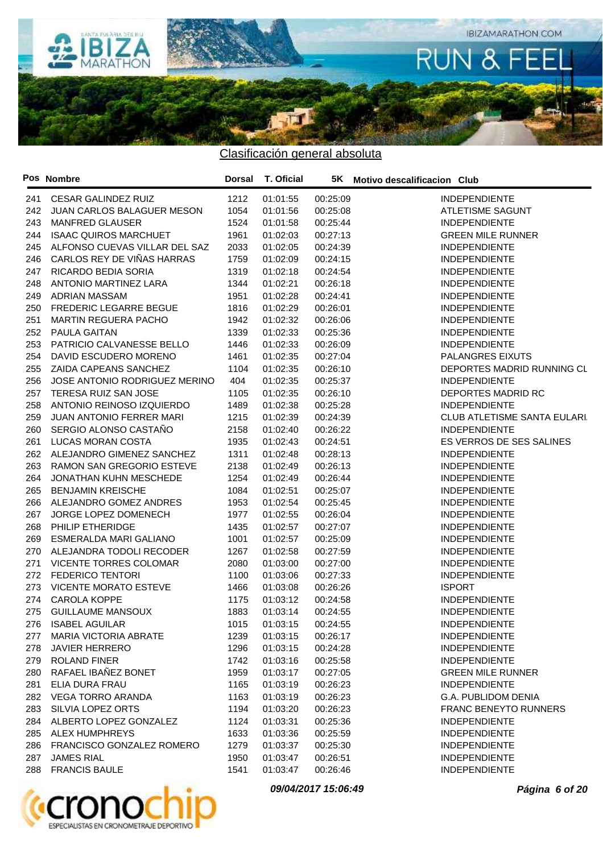

|     | Pos Nombre                    | Dorsal | T. Oficial |          | 5K Motivo descalificacion Club      |
|-----|-------------------------------|--------|------------|----------|-------------------------------------|
| 241 | <b>CESAR GALINDEZ RUIZ</b>    | 1212   | 01:01:55   | 00:25:09 | <b>INDEPENDIENTE</b>                |
| 242 | JUAN CARLOS BALAGUER MESON    | 1054   | 01:01:56   | 00:25:08 | ATLETISME SAGUNT                    |
| 243 | MANFRED GLAUSER               | 1524   | 01:01:58   | 00:25:44 | <b>INDEPENDIENTE</b>                |
| 244 | <b>ISAAC QUIROS MARCHUET</b>  | 1961   | 01:02:03   | 00:27:13 | <b>GREEN MILE RUNNER</b>            |
| 245 | ALFONSO CUEVAS VILLAR DEL SAZ | 2033   | 01:02:05   | 00:24:39 | <b>INDEPENDIENTE</b>                |
| 246 | CARLOS REY DE VIÑAS HARRAS    | 1759   | 01:02:09   | 00:24:15 | <b>INDEPENDIENTE</b>                |
| 247 | RICARDO BEDIA SORIA           | 1319   | 01:02:18   | 00:24:54 | <b>INDEPENDIENTE</b>                |
| 248 | ANTONIO MARTINEZ LARA         | 1344   | 01:02:21   | 00:26:18 | <b>INDEPENDIENTE</b>                |
| 249 | ADRIAN MASSAM                 | 1951   | 01:02:28   | 00:24:41 | <b>INDEPENDIENTE</b>                |
| 250 | <b>FREDERIC LEGARRE BEGUE</b> | 1816   | 01:02:29   | 00:26:01 | <b>INDEPENDIENTE</b>                |
| 251 | <b>MARTIN REGUERA PACHO</b>   | 1942   | 01:02:32   | 00:26:06 | <b>INDEPENDIENTE</b>                |
| 252 | PAULA GAITAN                  | 1339   | 01:02:33   | 00:25:36 | <b>INDEPENDIENTE</b>                |
| 253 | PATRICIO CALVANESSE BELLO     | 1446   | 01:02:33   | 00:26:09 | <b>INDEPENDIENTE</b>                |
| 254 | DAVID ESCUDERO MORENO         | 1461   | 01:02:35   | 00:27:04 | PALANGRES EIXUTS                    |
| 255 | ZAIDA CAPEANS SANCHEZ         | 1104   | 01:02:35   | 00:26:10 | DEPORTES MADRID RUNNING CL          |
| 256 | JOSE ANTONIO RODRIGUEZ MERINO | 404    | 01:02:35   | 00:25:37 | <b>INDEPENDIENTE</b>                |
| 257 | TERESA RUIZ SAN JOSE          | 1105   | 01:02:35   | 00:26:10 | DEPORTES MADRID RC                  |
| 258 | ANTONIO REINOSO IZQUIERDO     | 1489   | 01:02:38   | 00:25:28 | <b>INDEPENDIENTE</b>                |
| 259 | JUAN ANTONIO FERRER MARI      | 1215   | 01:02:39   | 00:24:39 | <b>CLUB ATLETISME SANTA EULARI.</b> |
| 260 | SERGIO ALONSO CASTAÑO         | 2158   | 01:02:40   | 00:26:22 | <b>INDEPENDIENTE</b>                |
| 261 | LUCAS MORAN COSTA             | 1935   | 01:02:43   | 00:24:51 | ES VERROS DE SES SALINES            |
| 262 | ALEJANDRO GIMENEZ SANCHEZ     | 1311   | 01:02:48   | 00:28:13 | <b>INDEPENDIENTE</b>                |
| 263 | RAMON SAN GREGORIO ESTEVE     | 2138   | 01:02:49   | 00:26:13 | <b>INDEPENDIENTE</b>                |
| 264 | <b>JONATHAN KUHN MESCHEDE</b> | 1254   | 01:02:49   | 00:26:44 | <b>INDEPENDIENTE</b>                |
| 265 | <b>BENJAMIN KREISCHE</b>      | 1084   | 01:02:51   | 00:25:07 | <b>INDEPENDIENTE</b>                |
| 266 | ALEJANDRO GOMEZ ANDRES        | 1953   | 01:02:54   | 00:25:45 | <b>INDEPENDIENTE</b>                |
| 267 | JORGE LOPEZ DOMENECH          | 1977   | 01:02:55   | 00:26:04 | <b>INDEPENDIENTE</b>                |
| 268 | PHILIP ETHERIDGE              | 1435   | 01:02:57   | 00:27:07 | <b>INDEPENDIENTE</b>                |
| 269 | ESMERALDA MARI GALIANO        | 1001   | 01:02:57   | 00:25:09 | <b>INDEPENDIENTE</b>                |
| 270 | ALEJANDRA TODOLI RECODER      | 1267   | 01:02:58   | 00:27:59 | <b>INDEPENDIENTE</b>                |
| 271 | VICENTE TORRES COLOMAR        | 2080   | 01:03:00   | 00:27:00 | <b>INDEPENDIENTE</b>                |
| 272 | <b>FEDERICO TENTORI</b>       | 1100   | 01:03:06   | 00:27:33 | <b>INDEPENDIENTE</b>                |
| 273 | <b>VICENTE MORATO ESTEVE</b>  | 1466   | 01:03:08   | 00:26:26 | <b>ISPORT</b>                       |
| 274 | CAROLA KOPPE                  | 1175   | 01:03:12   | 00:24:58 | <b>INDEPENDIENTE</b>                |
| 275 | <b>GUILLAUME MANSOUX</b>      | 1883   | 01:03:14   | 00:24:55 | <b>INDEPENDIENTE</b>                |
| 276 | <b>ISABEL AGUILAR</b>         | 1015   | 01:03:15   | 00:24:55 | <b>INDEPENDIENTE</b>                |
| 277 | <b>MARIA VICTORIA ABRATE</b>  | 1239   | 01:03:15   | 00:26:17 | <b>INDEPENDIENTE</b>                |
| 278 | <b>JAVIER HERRERO</b>         | 1296   | 01:03:15   | 00:24:28 | <b>INDEPENDIENTE</b>                |
| 279 | ROLAND FINER                  | 1742   | 01:03:16   | 00:25:58 | <b>INDEPENDIENTE</b>                |
| 280 | RAFAEL IBANEZ BONET           | 1959   | 01:03:17   | 00:27:05 | <b>GREEN MILE RUNNER</b>            |
| 281 | ELIA DURA FRAU                | 1165   | 01:03:19   | 00:26:23 | <b>INDEPENDIENTE</b>                |
| 282 | VEGA TORRO ARANDA             | 1163   | 01:03:19   | 00:26:23 | G.A. PUBLIDOM DENIA                 |
| 283 | SILVIA LOPEZ ORTS             | 1194   | 01:03:20   | 00:26:23 | <b>FRANC BENEYTO RUNNERS</b>        |
| 284 | ALBERTO LOPEZ GONZALEZ        | 1124   | 01:03:31   | 00:25:36 | <b>INDEPENDIENTE</b>                |
|     | 285 ALEX HUMPHREYS            | 1633   | 01:03:36   | 00:25:59 | <b>INDEPENDIENTE</b>                |
| 286 | FRANCISCO GONZALEZ ROMERO     | 1279   | 01:03:37   | 00:25:30 | <b>INDEPENDIENTE</b>                |
| 287 | <b>JAMES RIAL</b>             | 1950   | 01:03:47   | 00:26:51 | <b>INDEPENDIENTE</b>                |
|     | 288 FRANCIS BAULE             | 1541   | 01:03:47   | 00:26:46 | <b>INDEPENDIENTE</b>                |
|     |                               |        |            |          |                                     |



**09/04/2017 15:06:49 Página 6 of 20**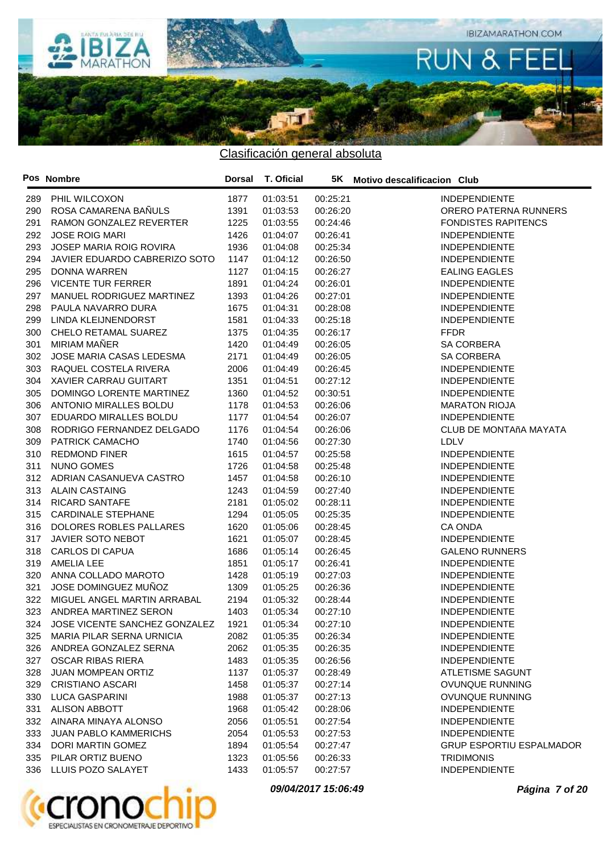

|     | Pos Nombre                         | Dorsal | T. Oficial |          | 5K Motivo descalificacion Club  |
|-----|------------------------------------|--------|------------|----------|---------------------------------|
|     | 289 PHIL WILCOXON                  | 1877   | 01:03:51   | 00:25:21 | <b>INDEPENDIENTE</b>            |
| 290 | ROSA CAMARENA BAÑULS               | 1391   | 01:03:53   | 00:26:20 | ORERO PATERNA RUNNERS           |
| 291 | RAMON GONZALEZ REVERTER            | 1225   | 01:03:55   | 00:24:46 | <b>FONDISTES RAPITENCS</b>      |
| 292 | <b>JOSE ROIG MARI</b>              | 1426   | 01:04:07   | 00:26:41 | <b>INDEPENDIENTE</b>            |
| 293 | JOSEP MARIA ROIG ROVIRA            | 1936   | 01:04:08   | 00:25:34 | <b>INDEPENDIENTE</b>            |
| 294 | JAVIER EDUARDO CABRERIZO SOTO      | 1147   | 01:04:12   | 00:26:50 | <b>INDEPENDIENTE</b>            |
| 295 | DONNA WARREN                       | 1127   | 01:04:15   | 00:26:27 | <b>EALING EAGLES</b>            |
| 296 | <b>VICENTE TUR FERRER</b>          | 1891   | 01:04:24   | 00:26:01 | <b>INDEPENDIENTE</b>            |
| 297 | MANUEL RODRIGUEZ MARTINEZ          | 1393   | 01:04:26   | 00:27:01 | <b>INDEPENDIENTE</b>            |
| 298 | PAULA NAVARRO DURA                 | 1675   | 01:04:31   | 00:28:08 | <b>INDEPENDIENTE</b>            |
| 299 | LINDA KLEIJNENDORST                | 1581   | 01:04:33   | 00:25:18 | <b>INDEPENDIENTE</b>            |
| 300 | CHELO RETAMAL SUAREZ               | 1375   | 01:04:35   | 00:26:17 | <b>FFDR</b>                     |
| 301 | MIRIAM MAÑER                       | 1420   | 01:04:49   | 00:26:05 | SA CORBERA                      |
| 302 | JOSE MARIA CASAS LEDESMA           | 2171   | 01:04:49   | 00:26:05 | SA CORBERA                      |
| 303 | RAQUEL COSTELA RIVERA              | 2006   | 01:04:49   | 00:26:45 | <b>INDEPENDIENTE</b>            |
| 304 | XAVIER CARRAU GUITART              | 1351   | 01:04:51   | 00:27:12 | <b>INDEPENDIENTE</b>            |
| 305 | DOMINGO LORENTE MARTINEZ           | 1360   | 01:04:52   | 00:30:51 | <b>INDEPENDIENTE</b>            |
| 306 | ANTONIO MIRALLES BOLDU             | 1178   | 01:04:53   | 00:26:06 | <b>MARATON RIOJA</b>            |
| 307 | EDUARDO MIRALLES BOLDU             | 1177   | 01:04:54   | 00:26:07 | <b>INDEPENDIENTE</b>            |
| 308 | RODRIGO FERNANDEZ DELGADO          | 1176   | 01:04:54   | 00:26:06 | CLUB DE MONTAñA MAYATA          |
| 309 | <b>PATRICK CAMACHO</b>             | 1740   | 01:04:56   | 00:27:30 | LDLV                            |
| 310 | <b>REDMOND FINER</b>               | 1615   | 01:04:57   | 00:25:58 | <b>INDEPENDIENTE</b>            |
| 311 | NUNO GOMES                         | 1726   | 01:04:58   | 00:25:48 | <b>INDEPENDIENTE</b>            |
| 312 | ADRIAN CASANUEVA CASTRO            | 1457   | 01:04:58   | 00:26:10 | <b>INDEPENDIENTE</b>            |
| 313 | <b>ALAIN CASTAING</b>              | 1243   | 01:04:59   | 00:27:40 | <b>INDEPENDIENTE</b>            |
| 314 | <b>RICARD SANTAFE</b>              | 2181   | 01:05:02   | 00:28:11 | <b>INDEPENDIENTE</b>            |
| 315 | <b>CARDINALE STEPHANE</b>          | 1294   | 01:05:05   | 00:25:35 | <b>INDEPENDIENTE</b>            |
| 316 | DOLORES ROBLES PALLARES            | 1620   | 01:05:06   | 00:28:45 | CA ONDA                         |
| 317 | JAVIER SOTO NEBOT                  | 1621   | 01:05:07   | 00:28:45 | <b>INDEPENDIENTE</b>            |
| 318 | <b>CARLOS DI CAPUA</b>             | 1686   | 01:05:14   | 00:26:45 | <b>GALENO RUNNERS</b>           |
| 319 | AMELIA LEE                         | 1851   | 01:05:17   | 00:26:41 | <b>INDEPENDIENTE</b>            |
| 320 | ANNA COLLADO MAROTO                | 1428   | 01:05:19   | 00:27:03 | <b>INDEPENDIENTE</b>            |
| 321 | JOSE DOMINGUEZ MUÑOZ               | 1309   | 01:05:25   | 00:26:36 | <b>INDEPENDIENTE</b>            |
| 322 | MIGUEL ANGEL MARTIN ARRABAL        | 2194   | 01:05:32   | 00:28:44 | <b>INDEPENDIENTE</b>            |
| 323 | ANDREA MARTINEZ SERON              | 1403   | 01:05:34   | 00:27:10 | <b>INDEPENDIENTE</b>            |
| 324 | JOSE VICENTE SANCHEZ GONZALEZ 1921 |        | 01:05:34   | 00:27:10 | <b>INDEPENDIENTE</b>            |
|     | 325 MARIA PILAR SERNA URNICIA      | 2082   | 01:05:35   | 00:26:34 | <b>INDEPENDIENTE</b>            |
|     | 326 ANDREA GONZALEZ SERNA          | 2062   | 01:05:35   | 00:26:35 | <b>INDEPENDIENTE</b>            |
| 327 | OSCAR RIBAS RIERA                  | 1483   | 01:05:35   | 00:26:56 | <b>INDEPENDIENTE</b>            |
| 328 | <b>JUAN MOMPEAN ORTIZ</b>          | 1137   | 01:05:37   | 00:28:49 | <b>ATLETISME SAGUNT</b>         |
| 329 | <b>CRISTIANO ASCARI</b>            | 1458   | 01:05:37   | 00:27:14 | OVUNQUE RUNNING                 |
| 330 | <b>LUCA GASPARINI</b>              | 1988   | 01:05:37   | 00:27:13 | OVUNQUE RUNNING                 |
| 331 | ALISON ABBOTT                      | 1968   | 01:05:42   | 00:28:06 | <b>INDEPENDIENTE</b>            |
| 332 | AINARA MINAYA ALONSO               | 2056   | 01:05:51   | 00:27:54 | <b>INDEPENDIENTE</b>            |
| 333 | <b>JUAN PABLO KAMMERICHS</b>       | 2054   | 01:05:53   | 00:27:53 | <b>INDEPENDIENTE</b>            |
| 334 | DORI MARTIN GOMEZ                  | 1894   | 01:05:54   | 00:27:47 | <b>GRUP ESPORTIU ESPALMADOR</b> |
| 335 | PILAR ORTIZ BUENO                  | 1323   | 01:05:56   | 00:26:33 | <b>TRIDIMONIS</b>               |
|     | 336 LLUIS POZO SALAYET             | 1433   | 01:05:57   | 00:27:57 | <b>INDEPENDIENTE</b>            |



**09/04/2017 15:06:49 Página 7 of 20**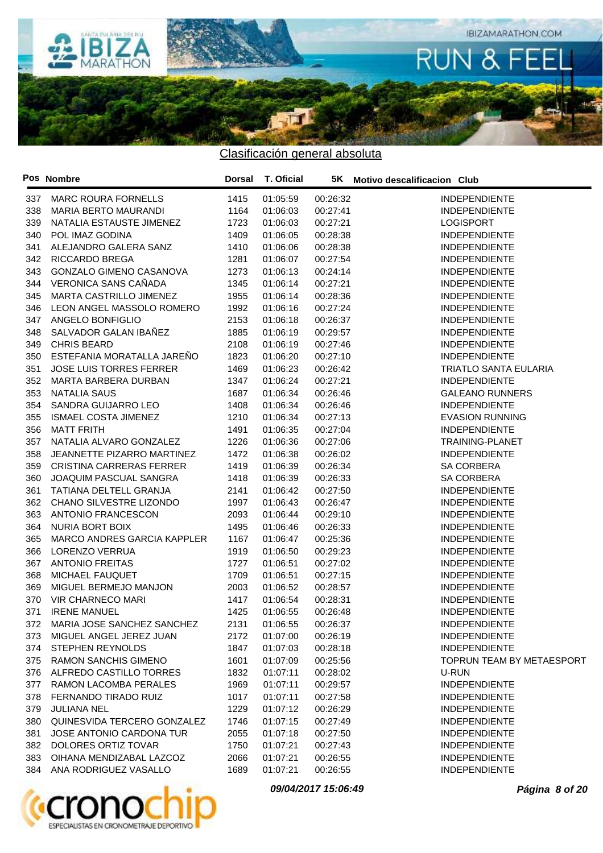

|     | Pos Nombre                      |      | Dorsal T. Oficial |          | 5K Motivo descalificacion Club |
|-----|---------------------------------|------|-------------------|----------|--------------------------------|
| 337 | <b>MARC ROURA FORNELLS</b>      | 1415 | 01:05:59          | 00:26:32 | <b>INDEPENDIENTE</b>           |
| 338 | MARIA BERTO MAURANDI            | 1164 | 01:06:03          | 00:27:41 | <b>INDEPENDIENTE</b>           |
| 339 | NATALIA ESTAUSTE JIMENEZ        | 1723 | 01:06:03          | 00:27:21 | <b>LOGISPORT</b>               |
| 340 | POL IMAZ GODINA                 | 1409 | 01:06:05          | 00:28:38 | <b>INDEPENDIENTE</b>           |
| 341 | ALEJANDRO GALERA SANZ           | 1410 | 01:06:06          | 00:28:38 | <b>INDEPENDIENTE</b>           |
| 342 | <b>RICCARDO BREGA</b>           | 1281 | 01:06:07          | 00:27:54 | <b>INDEPENDIENTE</b>           |
| 343 | <b>GONZALO GIMENO CASANOVA</b>  | 1273 | 01:06:13          | 00:24:14 | <b>INDEPENDIENTE</b>           |
| 344 | VERONICA SANS CAÑADA            | 1345 | 01:06:14          | 00:27:21 | <b>INDEPENDIENTE</b>           |
| 345 | MARTA CASTRILLO JIMENEZ         | 1955 | 01:06:14          | 00:28:36 | <b>INDEPENDIENTE</b>           |
| 346 | LEON ANGEL MASSOLO ROMERO       | 1992 | 01:06:16          | 00:27:24 | <b>INDEPENDIENTE</b>           |
| 347 | ANGELO BONFIGLIO                | 2153 | 01:06:18          | 00:26:37 | <b>INDEPENDIENTE</b>           |
| 348 | SALVADOR GALAN IBAÑEZ           | 1885 | 01:06:19          | 00:29:57 | <b>INDEPENDIENTE</b>           |
| 349 | <b>CHRIS BEARD</b>              | 2108 | 01:06:19          | 00:27:46 | <b>INDEPENDIENTE</b>           |
| 350 | ESTEFANIA MORATALLA JAREÑO      | 1823 | 01:06:20          | 00:27:10 | <b>INDEPENDIENTE</b>           |
| 351 | <b>JOSE LUIS TORRES FERRER</b>  | 1469 | 01:06:23          | 00:26:42 | <b>TRIATLO SANTA EULARIA</b>   |
| 352 | MARTA BARBERA DURBAN            | 1347 | 01:06:24          | 00:27:21 | <b>INDEPENDIENTE</b>           |
| 353 | <b>NATALIA SAUS</b>             | 1687 | 01:06:34          | 00:26:46 | <b>GALEANO RUNNERS</b>         |
| 354 | SANDRA GUIJARRO LEO             | 1408 | 01:06:34          | 00:26:46 | <b>INDEPENDIENTE</b>           |
| 355 | <b>ISMAEL COSTA JIMENEZ</b>     | 1210 | 01:06:34          | 00:27:13 | <b>EVASION RUNNING</b>         |
| 356 | <b>MATT FRITH</b>               | 1491 | 01:06:35          | 00:27:04 | <b>INDEPENDIENTE</b>           |
| 357 | NATALIA ALVARO GONZALEZ         | 1226 | 01:06:36          | 00:27:06 | <b>TRAINING-PLANET</b>         |
| 358 | JEANNETTE PIZARRO MARTINEZ      | 1472 | 01:06:38          | 00:26:02 | <b>INDEPENDIENTE</b>           |
| 359 | <b>CRISTINA CARRERAS FERRER</b> | 1419 | 01:06:39          | 00:26:34 | <b>SA CORBERA</b>              |
| 360 | JOAQUIM PASCUAL SANGRA          | 1418 | 01:06:39          | 00:26:33 | <b>SA CORBERA</b>              |
| 361 | TATIANA DELTELL GRANJA          | 2141 | 01:06:42          | 00:27:50 | <b>INDEPENDIENTE</b>           |
| 362 | CHANO SILVESTRE LIZONDO         | 1997 | 01:06:43          | 00:26:47 | <b>INDEPENDIENTE</b>           |
| 363 | ANTONIO FRANCESCON              | 2093 | 01:06:44          | 00:29:10 | <b>INDEPENDIENTE</b>           |
| 364 | NURIA BORT BOIX                 | 1495 | 01:06:46          | 00:26:33 | <b>INDEPENDIENTE</b>           |
| 365 | MARCO ANDRES GARCIA KAPPLER     | 1167 | 01:06:47          | 00:25:36 | <b>INDEPENDIENTE</b>           |
| 366 | LORENZO VERRUA                  | 1919 | 01:06:50          | 00:29:23 | <b>INDEPENDIENTE</b>           |
| 367 | <b>ANTONIO FREITAS</b>          | 1727 | 01:06:51          | 00:27:02 | <b>INDEPENDIENTE</b>           |
| 368 | MICHAEL FAUQUET                 | 1709 | 01:06:51          | 00:27:15 | <b>INDEPENDIENTE</b>           |
| 369 | MIGUEL BERMEJO MANJON           | 2003 | 01:06:52          | 00:28:57 | <b>INDEPENDIENTE</b>           |
| 370 | <b>VIR CHARNECO MARI</b>        | 1417 | 01:06:54          | 00:28:31 | <b>INDEPENDIENTE</b>           |
| 371 | <b>IRENE MANUEL</b>             | 1425 | 01:06:55          | 00:26:48 | <b>INDEPENDIENTE</b>           |
|     | 372 MARIA JOSE SANCHEZ SANCHEZ  | 2131 | 01:06:55 00:26:37 |          | <b>INDEPENDIENTE</b>           |
|     | 373 MIGUEL ANGEL JEREZ JUAN     | 2172 | 01:07:00          | 00:26:19 | <b>INDEPENDIENTE</b>           |
| 374 | <b>STEPHEN REYNOLDS</b>         | 1847 | 01:07:03          | 00:28:18 | <b>INDEPENDIENTE</b>           |
| 375 | <b>RAMON SANCHIS GIMENO</b>     | 1601 | 01:07:09          | 00:25:56 | TOPRUN TEAM BY METAESPORT      |
|     | 376 ALFREDO CASTILLO TORRES     | 1832 | 01:07:11          | 00:28:02 | U-RUN                          |
| 377 | RAMON LACOMBA PERALES           | 1969 | 01:07:11          | 00:29:57 | <b>INDEPENDIENTE</b>           |
| 378 | FERNANDO TIRADO RUIZ            | 1017 | 01:07:11          | 00:27:58 | <b>INDEPENDIENTE</b>           |
| 379 | JULIANA NEL                     | 1229 | 01:07:12          | 00:26:29 | <b>INDEPENDIENTE</b>           |
| 380 | QUINESVIDA TERCERO GONZALEZ     | 1746 | 01:07:15          | 00:27:49 | <b>INDEPENDIENTE</b>           |
| 381 | JOSE ANTONIO CARDONA TUR        | 2055 | 01:07:18          | 00:27:50 | <b>INDEPENDIENTE</b>           |
|     | 382 DOLORES ORTIZ TOVAR         | 1750 | 01:07:21          | 00:27:43 | <b>INDEPENDIENTE</b>           |
| 383 | OIHANA MENDIZABAL LAZCOZ        | 2066 | 01:07:21          | 00:26:55 | <b>INDEPENDIENTE</b>           |
| 384 | ANA RODRIGUEZ VASALLO           | 1689 | 01:07:21          | 00:26:55 | <b>INDEPENDIENTE</b>           |



**09/04/2017 15:06:49 Página 8 of 20**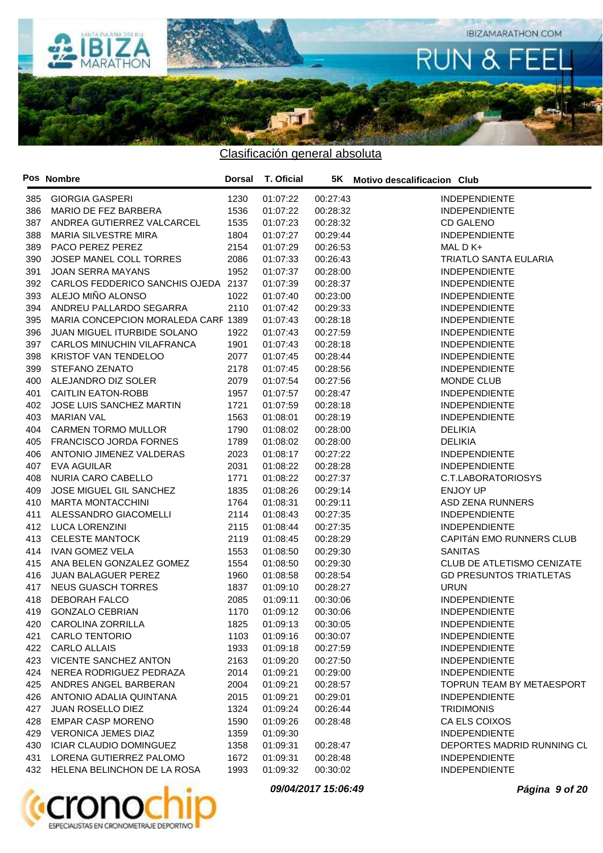

|     | Pos Nombre                          | Dorsal | T. Oficial |          | 5K Motivo descalificacion Club |
|-----|-------------------------------------|--------|------------|----------|--------------------------------|
| 385 | <b>GIORGIA GASPERI</b>              | 1230   | 01:07:22   | 00:27:43 | <b>INDEPENDIENTE</b>           |
| 386 | MARIO DE FEZ BARBERA                | 1536   | 01:07:22   | 00:28:32 | <b>INDEPENDIENTE</b>           |
| 387 | ANDREA GUTIERREZ VALCARCEL          | 1535   | 01:07:23   | 00:28:32 | <b>CD GALENO</b>               |
| 388 | <b>MARIA SILVESTRE MIRA</b>         | 1804   | 01:07:27   | 00:29:44 | <b>INDEPENDIENTE</b>           |
| 389 | PACO PEREZ PEREZ                    | 2154   | 01:07:29   | 00:26:53 | MAL D K+                       |
| 390 | JOSEP MANEL COLL TORRES             | 2086   | 01:07:33   | 00:26:43 | <b>TRIATLO SANTA EULARIA</b>   |
| 391 | <b>JOAN SERRA MAYANS</b>            | 1952   | 01:07:37   | 00:28:00 | <b>INDEPENDIENTE</b>           |
| 392 | CARLOS FEDDERICO SANCHIS OJEDA      | 2137   | 01:07:39   | 00:28:37 | <b>INDEPENDIENTE</b>           |
| 393 | ALEJO MIÑO ALONSO                   | 1022   | 01:07:40   | 00:23:00 | <b>INDEPENDIENTE</b>           |
| 394 | ANDREU PALLARDO SEGARRA             | 2110   | 01:07:42   | 00:29:33 | <b>INDEPENDIENTE</b>           |
| 395 | MARIA CONCEPCION MORALEDA CARF 1389 |        | 01:07:43   | 00:28:18 | <b>INDEPENDIENTE</b>           |
| 396 | JUAN MIGUEL ITURBIDE SOLANO         | 1922   | 01:07:43   | 00:27:59 | <b>INDEPENDIENTE</b>           |
| 397 | CARLOS MINUCHIN VILAFRANCA          | 1901   | 01:07:43   | 00:28:18 | <b>INDEPENDIENTE</b>           |
| 398 | KRISTOF VAN TENDELOO                | 2077   | 01:07:45   | 00:28:44 | <b>INDEPENDIENTE</b>           |
| 399 | STEFANO ZENATO                      | 2178   | 01:07:45   | 00:28:56 | <b>INDEPENDIENTE</b>           |
| 400 | ALEJANDRO DIZ SOLER                 | 2079   | 01:07:54   | 00:27:56 | MONDE CLUB                     |
| 401 | <b>CAITLIN EATON-ROBB</b>           | 1957   | 01:07:57   | 00:28:47 | <b>INDEPENDIENTE</b>           |
| 402 | JOSE LUIS SANCHEZ MARTIN            | 1721   | 01:07:59   | 00:28:18 | <b>INDEPENDIENTE</b>           |
| 403 | <b>MARIAN VAL</b>                   | 1563   | 01:08:01   | 00:28:19 | <b>INDEPENDIENTE</b>           |
| 404 | <b>CARMEN TORMO MULLOR</b>          | 1790   | 01:08:02   | 00:28:00 | <b>DELIKIA</b>                 |
| 405 | FRANCISCO JORDA FORNES              | 1789   | 01:08:02   | 00:28:00 | <b>DELIKIA</b>                 |
| 406 | ANTONIO JIMENEZ VALDERAS            | 2023   | 01:08:17   | 00:27:22 | <b>INDEPENDIENTE</b>           |
| 407 | <b>EVA AGUILAR</b>                  | 2031   | 01:08:22   | 00:28:28 | <b>INDEPENDIENTE</b>           |
| 408 | NURIA CARO CABELLO                  | 1771   | 01:08:22   | 00:27:37 | C.T.LABORATORIOSYS             |
| 409 | JOSE MIGUEL GIL SANCHEZ             | 1835   | 01:08:26   | 00:29:14 | <b>ENJOY UP</b>                |
| 410 | <b>MARTA MONTACCHINI</b>            | 1764   | 01:08:31   | 00:29:11 | <b>ASD ZENA RUNNERS</b>        |
| 411 | ALESSANDRO GIACOMELLI               | 2114   | 01:08:43   | 00:27:35 | <b>INDEPENDIENTE</b>           |
| 412 | LUCA LORENZINI                      | 2115   | 01:08:44   | 00:27:35 | <b>INDEPENDIENTE</b>           |
| 413 | <b>CELESTE MANTOCK</b>              | 2119   | 01:08:45   | 00:28:29 | CAPITÁN EMO RUNNERS CLUB       |
| 414 | <b>IVAN GOMEZ VELA</b>              | 1553   | 01:08:50   | 00:29:30 | <b>SANITAS</b>                 |
| 415 | ANA BELEN GONZALEZ GOMEZ            | 1554   | 01:08:50   | 00:29:30 | CLUB DE ATLETISMO CENIZATE     |
| 416 | JUAN BALAGUER PEREZ                 | 1960   | 01:08:58   | 00:28:54 | <b>GD PRESUNTOS TRIATLETAS</b> |
| 417 | <b>NEUS GUASCH TORRES</b>           | 1837   | 01:09:10   | 00:28:27 | <b>URUN</b>                    |
| 418 | DEBORAH FALCO                       | 2085   | 01:09:11   | 00:30:06 | <b>INDEPENDIENTE</b>           |
| 419 | <b>GONZALO CEBRIAN</b>              | 1170   | 01:09:12   | 00:30:06 | <b>INDEPENDIENTE</b>           |
|     | 420 CAROLINA ZORRILLA               | 1825   | 01:09:13   | 00:30:05 | <b>INDEPENDIENTE</b>           |
|     | 421 CARLO TENTORIO                  | 1103   | 01:09:16   | 00:30:07 | <b>INDEPENDIENTE</b>           |
|     | 422 CARLO ALLAIS                    | 1933   | 01:09:18   | 00:27:59 | <b>INDEPENDIENTE</b>           |
|     | 423 VICENTE SANCHEZ ANTON           | 2163   | 01:09:20   | 00:27:50 | <b>INDEPENDIENTE</b>           |
| 424 | NEREA RODRIGUEZ PEDRAZA             | 2014   | 01:09:21   | 00:29:00 | <b>INDEPENDIENTE</b>           |
|     | 425 ANDRES ANGEL BARBERAN           | 2004   | 01:09:21   | 00:28:57 | TOPRUN TEAM BY METAESPORT      |
| 426 | ANTONIO ADALIA QUINTANA             | 2015   | 01:09:21   | 00:29:01 | <b>INDEPENDIENTE</b>           |
| 427 | <b>JUAN ROSELLO DIEZ</b>            | 1324   | 01:09:24   | 00:26:44 | <b>TRIDIMONIS</b>              |
| 428 | EMPAR CASP MORENO                   | 1590   | 01:09:26   | 00:28:48 | CA ELS COIXOS                  |
| 429 | <b>VERONICA JEMES DIAZ</b>          | 1359   | 01:09:30   |          | <b>INDEPENDIENTE</b>           |
| 430 | ICIAR CLAUDIO DOMINGUEZ             | 1358   | 01:09:31   | 00:28:47 | DEPORTES MADRID RUNNING CL     |
| 431 | LORENA GUTIERREZ PALOMO             | 1672   | 01:09:31   | 00:28:48 | <b>INDEPENDIENTE</b>           |
|     | 432 HELENA BELINCHON DE LA ROSA     | 1993   | 01:09:32   | 00:30:02 | <b>INDEPENDIENTE</b>           |
|     |                                     |        |            |          |                                |



**09/04/2017 15:06:49 Página 9 of 20**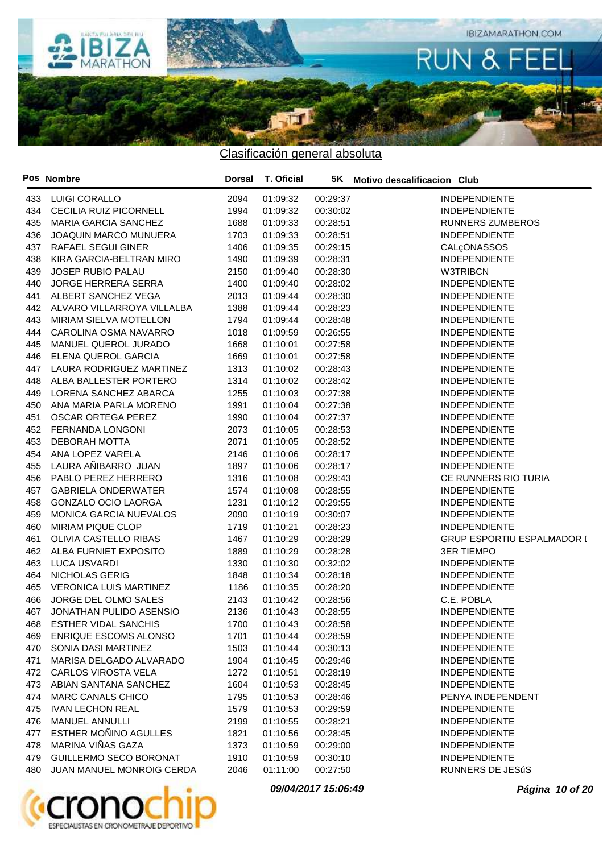

|            | Pos Nombre                    | Dorsal       | T. Oficial           |                      | 5K Motivo descalificacion Club    |
|------------|-------------------------------|--------------|----------------------|----------------------|-----------------------------------|
| 433        | <b>LUIGI CORALLO</b>          | 2094         | 01:09:32             | 00:29:37             | <b>INDEPENDIENTE</b>              |
| 434        | <b>CECILIA RUIZ PICORNELL</b> | 1994         | 01:09:32             | 00:30:02             | <b>INDEPENDIENTE</b>              |
| 435        | <b>MARIA GARCIA SANCHEZ</b>   | 1688         | 01:09:33             | 00:28:51             | <b>RUNNERS ZUMBEROS</b>           |
| 436        | <b>JOAQUIN MARCO MUNUERA</b>  | 1703         | 01:09:33             | 00:28:51             | <b>INDEPENDIENTE</b>              |
| 437        | RAFAEL SEGUI GINER            | 1406         | 01:09:35             | 00:29:15             | CALÇONASSOS                       |
| 438        | KIRA GARCIA-BELTRAN MIRO      | 1490         | 01:09:39             | 00:28:31             | <b>INDEPENDIENTE</b>              |
| 439        | <b>JOSEP RUBIO PALAU</b>      | 2150         | 01:09:40             | 00:28:30             | <b>W3TRIBCN</b>                   |
| 440        | <b>JORGE HERRERA SERRA</b>    | 1400         | 01:09:40             | 00:28:02             | <b>INDEPENDIENTE</b>              |
| 441        | ALBERT SANCHEZ VEGA           | 2013         | 01:09:44             | 00:28:30             | <b>INDEPENDIENTE</b>              |
| 442        | ALVARO VILLARROYA VILLALBA    | 1388         | 01:09:44             | 00:28:23             | <b>INDEPENDIENTE</b>              |
| 443        | MIRIAM SIELVA MOTELLON        | 1794         | 01:09:44             | 00:28:48             | <b>INDEPENDIENTE</b>              |
| 444        | CAROLINA OSMA NAVARRO         | 1018         | 01:09:59             | 00:26:55             | <b>INDEPENDIENTE</b>              |
| 445        | MANUEL QUEROL JURADO          | 1668         | 01:10:01             | 00:27:58             | <b>INDEPENDIENTE</b>              |
| 446        | ELENA QUEROL GARCIA           | 1669         | 01:10:01             | 00:27:58             | <b>INDEPENDIENTE</b>              |
| 447        | LAURA RODRIGUEZ MARTINEZ      | 1313         | 01:10:02             | 00:28:43             | <b>INDEPENDIENTE</b>              |
| 448        | ALBA BALLESTER PORTERO        | 1314         | 01:10:02             | 00:28:42             | <b>INDEPENDIENTE</b>              |
| 449        | LORENA SANCHEZ ABARCA         | 1255         | 01:10:03             | 00:27:38             | <b>INDEPENDIENTE</b>              |
| 450        | ANA MARIA PARLA MORENO        | 1991         | 01:10:04             | 00:27:38             | <b>INDEPENDIENTE</b>              |
| 451        | <b>OSCAR ORTEGA PEREZ</b>     | 1990         | 01:10:04             | 00:27:37             | <b>INDEPENDIENTE</b>              |
| 452        | <b>FERNANDA LONGONI</b>       | 2073         | 01:10:05             | 00:28:53             | <b>INDEPENDIENTE</b>              |
| 453        | <b>DEBORAH MOTTA</b>          | 2071         | 01:10:05             | 00:28:52             | <b>INDEPENDIENTE</b>              |
| 454        | ANA LOPEZ VARELA              | 2146         | 01:10:06             | 00:28:17             | <b>INDEPENDIENTE</b>              |
| 455        | LAURA AÑIBARRO JUAN           | 1897         | 01:10:06             | 00:28:17             | <b>INDEPENDIENTE</b>              |
| 456        | PABLO PEREZ HERRERO           | 1316         | 01:10:08             | 00:29:43             | CE RUNNERS RIO TURIA              |
| 457        | <b>GABRIELA ONDERWATER</b>    | 1574         | 01:10:08             | 00:28:55             | <b>INDEPENDIENTE</b>              |
| 458        | <b>GONZALO OCIO LAORGA</b>    | 1231         | 01:10:12             | 00:29:55             | <b>INDEPENDIENTE</b>              |
| 459        | MONICA GARCIA NUEVALOS        | 2090         | 01:10:19             | 00:30:07             | <b>INDEPENDIENTE</b>              |
| 460        | MIRIAM PIQUE CLOP             | 1719         | 01:10:21             | 00:28:23             | <b>INDEPENDIENTE</b>              |
| 461        | OLIVIA CASTELLO RIBAS         | 1467         | 01:10:29             | 00:28:29             | <b>GRUP ESPORTIU ESPALMADOR I</b> |
| 462        | ALBA FURNIET EXPOSITO         | 1889         | 01:10:29             | 00:28:28             | <b>3ER TIEMPO</b>                 |
| 463        | <b>LUCA USVARDI</b>           | 1330         | 01:10:30             | 00:32:02             | <b>INDEPENDIENTE</b>              |
| 464        | NICHOLAS GERIG                | 1848         | 01:10:34             | 00:28:18             | <b>INDEPENDIENTE</b>              |
|            | <b>VERONICA LUIS MARTINEZ</b> |              |                      | 00:28:20             | <b>INDEPENDIENTE</b>              |
| 465        | JORGE DEL OLMO SALES          | 1186         | 01:10:35             |                      | C.E. POBLA                        |
| 466<br>467 | JONATHAN PULIDO ASENSIO       | 2143<br>2136 | 01:10:42<br>01:10:43 | 00:28:56<br>00:28:55 | <b>INDEPENDIENTE</b>              |
|            |                               |              |                      |                      | <b>INDEPENDIENTE</b>              |
|            | 468 ESTHER VIDAL SANCHIS      |              | 1700 01:10:43        | 00:28:58             |                                   |
| 469        | ENRIQUE ESCOMS ALONSO         | 1701         | 01:10:44             | 00:28:59             | <b>INDEPENDIENTE</b>              |
| 470        | SONIA DASI MARTINEZ           | 1503         | 01:10:44             | 00:30:13             | <b>INDEPENDIENTE</b>              |
| 471        | MARISA DELGADO ALVARADO       | 1904         | 01:10:45             | 00:29:46             | <b>INDEPENDIENTE</b>              |
| 472        | <b>CARLOS VIROSTA VELA</b>    | 1272         | 01:10:51             | 00:28:19             | <b>INDEPENDIENTE</b>              |
| 473        | ABIAN SANTANA SANCHEZ         | 1604         | 01:10:53             | 00:28:45             | <b>INDEPENDIENTE</b>              |
| 474        | MARC CANALS CHICO             | 1795         | 01:10:53             | 00:28:46             | PENYA INDEPENDENT                 |
| 475        | <b>IVAN LECHON REAL</b>       | 1579         | 01:10:53             | 00:29:59             | <b>INDEPENDIENTE</b>              |
| 476        | <b>MANUEL ANNULLI</b>         | 2199         | 01:10:55             | 00:28:21             | <b>INDEPENDIENTE</b>              |
| 477        | ESTHER MOÑINO AGULLES         | 1821         | 01:10:56             | 00:28:45             | <b>INDEPENDIENTE</b>              |
| 478        | MARINA VIÑAS GAZA             | 1373         | 01:10:59             | 00:29:00             | <b>INDEPENDIENTE</b>              |
| 479        | <b>GUILLERMO SECO BORONAT</b> | 1910         | 01:10:59             | 00:30:10             | <b>INDEPENDIENTE</b>              |
| 480        | JUAN MANUEL MONROIG CERDA     | 2046         | 01:11:00             | 00:27:50             | RUNNERS DE JESúS                  |



**09/04/2017 15:06:49 Página 10 of 20**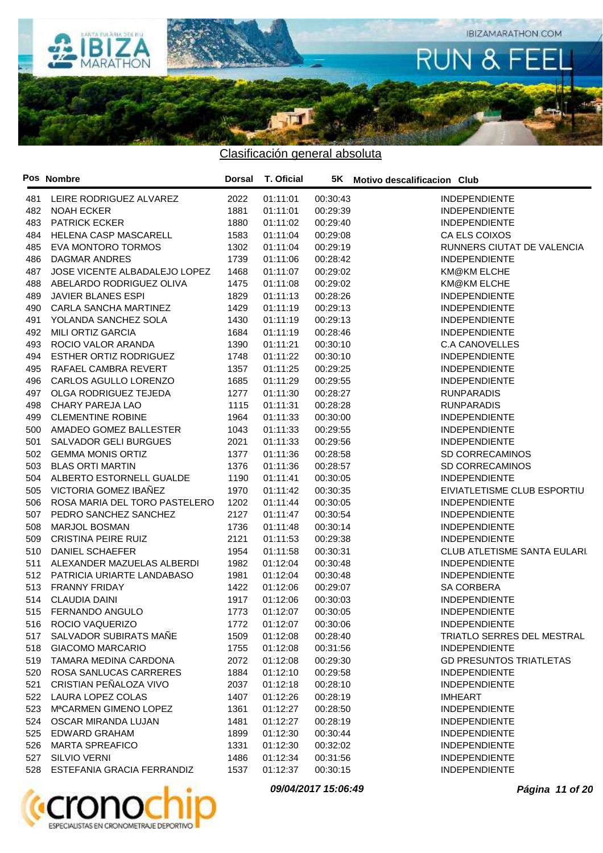

|     | Pos Nombre                         | Dorsal | T. Oficial |          | 5K Motivo descalificacion Club      |
|-----|------------------------------------|--------|------------|----------|-------------------------------------|
| 481 | LEIRE RODRIGUEZ ALVAREZ            | 2022   | 01:11:01   | 00:30:43 | <b>INDEPENDIENTE</b>                |
| 482 | <b>NOAH ECKER</b>                  | 1881   | 01:11:01   | 00:29:39 | <b>INDEPENDIENTE</b>                |
| 483 | <b>PATRICK ECKER</b>               | 1880   | 01:11:02   | 00:29:40 | <b>INDEPENDIENTE</b>                |
| 484 | HELENA CASP MASCARELL              | 1583   | 01:11:04   | 00:29:08 | CA ELS COIXOS                       |
| 485 | <b>EVA MONTORO TORMOS</b>          | 1302   | 01:11:04   | 00:29:19 | RUNNERS CIUTAT DE VALENCIA          |
| 486 | <b>DAGMAR ANDRES</b>               | 1739   | 01:11:06   | 00:28:42 | <b>INDEPENDIENTE</b>                |
| 487 | JOSE VICENTE ALBADALEJO LOPEZ      | 1468   | 01:11:07   | 00:29:02 | KM@KM ELCHE                         |
| 488 | ABELARDO RODRIGUEZ OLIVA           | 1475   | 01:11:08   | 00:29:02 | KM@KM ELCHE                         |
| 489 | <b>JAVIER BLANES ESPI</b>          | 1829   | 01:11:13   | 00:28:26 | <b>INDEPENDIENTE</b>                |
| 490 | CARLA SANCHA MARTINEZ              | 1429   | 01:11:19   | 00:29:13 | <b>INDEPENDIENTE</b>                |
| 491 | YOLANDA SANCHEZ SOLA               | 1430   | 01:11:19   | 00:29:13 | <b>INDEPENDIENTE</b>                |
| 492 | <b>MILI ORTIZ GARCIA</b>           | 1684   | 01:11:19   | 00:28:46 | <b>INDEPENDIENTE</b>                |
| 493 | ROCIO VALOR ARANDA                 | 1390   | 01:11:21   | 00:30:10 | <b>C.A CANOVELLES</b>               |
| 494 | <b>ESTHER ORTIZ RODRIGUEZ</b>      | 1748   | 01:11:22   | 00:30:10 | <b>INDEPENDIENTE</b>                |
| 495 | RAFAEL CAMBRA REVERT               | 1357   | 01:11:25   | 00:29:25 | <b>INDEPENDIENTE</b>                |
| 496 | CARLOS AGULLO LORENZO              | 1685   | 01:11:29   | 00:29:55 | <b>INDEPENDIENTE</b>                |
| 497 | OLGA RODRIGUEZ TEJEDA              | 1277   | 01:11:30   | 00:28:27 | <b>RUNPARADIS</b>                   |
| 498 | CHARY PAREJA LAO                   | 1115   | 01:11:31   | 00:28:28 | <b>RUNPARADIS</b>                   |
| 499 | <b>CLEMENTINE ROBINE</b>           | 1964   | 01:11:33   | 00:30:00 | <b>INDEPENDIENTE</b>                |
| 500 | AMADEO GOMEZ BALLESTER             | 1043   | 01:11:33   | 00:29:55 | <b>INDEPENDIENTE</b>                |
| 501 | <b>SALVADOR GELI BURGUES</b>       | 2021   | 01:11:33   | 00:29:56 | <b>INDEPENDIENTE</b>                |
| 502 | <b>GEMMA MONIS ORTIZ</b>           | 1377   | 01:11:36   | 00:28:58 | SD CORRECAMINOS                     |
| 503 | <b>BLAS ORTI MARTIN</b>            | 1376   | 01:11:36   | 00:28:57 | SD CORRECAMINOS                     |
| 504 | ALBERTO ESTORNELL GUALDE           | 1190   | 01:11:41   | 00:30:05 | <b>INDEPENDIENTE</b>                |
| 505 | VICTORIA GOMEZ IBAÑEZ              | 1970   | 01:11:42   | 00:30:35 | EIVIATLETISME CLUB ESPORTIU         |
| 506 | ROSA MARIA DEL TORO PASTELERO      | 1202   | 01:11:44   | 00:30:05 | <b>INDEPENDIENTE</b>                |
| 507 | PEDRO SANCHEZ SANCHEZ              | 2127   | 01:11:47   | 00:30:54 | <b>INDEPENDIENTE</b>                |
| 508 | <b>MARJOL BOSMAN</b>               | 1736   | 01:11:48   | 00:30:14 | <b>INDEPENDIENTE</b>                |
| 509 | <b>CRISTINA PEIRE RUIZ</b>         | 2121   | 01:11:53   | 00:29:38 | <b>INDEPENDIENTE</b>                |
| 510 | <b>DANIEL SCHAEFER</b>             | 1954   | 01:11:58   | 00:30:31 | <b>CLUB ATLETISME SANTA EULARI.</b> |
| 511 | ALEXANDER MAZUELAS ALBERDI         | 1982   | 01:12:04   | 00:30:48 | <b>INDEPENDIENTE</b>                |
| 512 | PATRICIA URIARTE LANDABASO         | 1981   | 01:12:04   | 00:30:48 | <b>INDEPENDIENTE</b>                |
| 513 | <b>FRANNY FRIDAY</b>               | 1422   | 01:12:06   | 00:29:07 | SA CORBERA                          |
| 514 | <b>CLAUDIA DAINI</b>               | 1917   | 01:12:06   | 00:30:03 | <b>INDEPENDIENTE</b>                |
| 515 | FERNANDO ANGULO                    | 1773   | 01:12:07   | 00:30:05 | <b>INDEPENDIENTE</b>                |
|     | 516 ROCIO VAQUERIZO                | 1772   | 01:12:07   | 00:30:06 | <b>INDEPENDIENTE</b>                |
|     | 517 SALVADOR SUBIRATS MAÑE         | 1509   | 01:12:08   | 00:28:40 | TRIATLO SERRES DEL MESTRAL          |
| 518 | <b>GIACOMO MARCARIO</b>            | 1755   | 01:12:08   | 00:31:56 | <b>INDEPENDIENTE</b>                |
| 519 | TAMARA MEDINA CARDONA              | 2072   | 01:12:08   | 00:29:30 | <b>GD PRESUNTOS TRIATLETAS</b>      |
| 520 | ROSA SANLUCAS CARRERES             | 1884   | 01:12:10   | 00:29:58 | <b>INDEPENDIENTE</b>                |
| 521 | CRISTIAN PEÑALOZA VIVO             | 2037   | 01:12:18   | 00:28:10 | <b>INDEPENDIENTE</b>                |
| 522 | LAURA LOPEZ COLAS                  | 1407   | 01:12:26   | 00:28:19 | <b>IMHEART</b>                      |
| 523 | M <sup>a</sup> CARMEN GIMENO LOPEZ | 1361   | 01:12:27   | 00:28:50 | <b>INDEPENDIENTE</b>                |
| 524 | OSCAR MIRANDA LUJAN                | 1481   | 01:12:27   | 00:28:19 | <b>INDEPENDIENTE</b>                |
| 525 | EDWARD GRAHAM                      | 1899   | 01:12:30   | 00:30:44 | <b>INDEPENDIENTE</b>                |
| 526 | <b>MARTA SPREAFICO</b>             | 1331   | 01:12:30   | 00:32:02 | <b>INDEPENDIENTE</b>                |
| 527 | <b>SILVIO VERNI</b>                | 1486   | 01:12:34   | 00:31:56 | <b>INDEPENDIENTE</b>                |
| 528 | ESTEFANIA GRACIA FERRANDIZ         | 1537   | 01:12:37   | 00:30:15 | INDEPENDIENTE                       |
|     |                                    |        |            |          |                                     |



**09/04/2017 15:06:49 Página 11 of 20**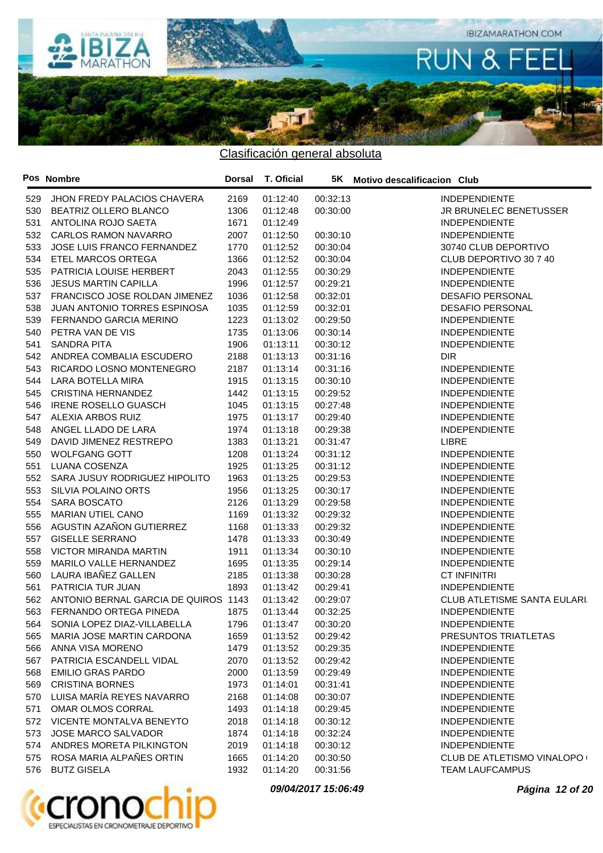

|     | Pos Nombre                           | Dorsal | <b>T. Oficial</b> |          | 5K Motivo descalificacion Club      |
|-----|--------------------------------------|--------|-------------------|----------|-------------------------------------|
| 529 | <b>JHON FREDY PALACIOS CHAVERA</b>   | 2169   | 01:12:40          | 00:32:13 | <b>INDEPENDIENTE</b>                |
| 530 | BEATRIZ OLLERO BLANCO                | 1306   | 01:12:48          | 00:30:00 | JR BRUNELEC BENETUSSER              |
| 531 | ANTOLINA ROJO SAETA                  | 1671   | 01:12:49          |          | <b>INDEPENDIENTE</b>                |
| 532 | <b>CARLOS RAMON NAVARRO</b>          | 2007   | 01:12:50          | 00:30:10 | <b>INDEPENDIENTE</b>                |
| 533 | JOSE LUIS FRANCO FERNANDEZ           | 1770   | 01:12:52          | 00:30:04 | 30740 CLUB DEPORTIVO                |
| 534 | ETEL MARCOS ORTEGA                   | 1366   | 01:12:52          | 00:30:04 | CLUB DEPORTIVO 30 7 40              |
| 535 | PATRICIA LOUISE HERBERT              | 2043   | 01:12:55          | 00:30:29 | <b>INDEPENDIENTE</b>                |
| 536 | <b>JESUS MARTIN CAPILLA</b>          | 1996   | 01:12:57          | 00:29:21 | <b>INDEPENDIENTE</b>                |
| 537 | FRANCISCO JOSE ROLDAN JIMENEZ        | 1036   | 01:12:58          | 00:32:01 | <b>DESAFIO PERSONAL</b>             |
| 538 | JUAN ANTONIO TORRES ESPINOSA         | 1035   | 01:12:59          | 00:32:01 | <b>DESAFIO PERSONAL</b>             |
| 539 | FERNANDO GARCIA MERINO               | 1223   | 01:13:02          | 00:29:50 | <b>INDEPENDIENTE</b>                |
| 540 | PETRA VAN DE VIS                     | 1735   | 01:13:06          | 00:30:14 | <b>INDEPENDIENTE</b>                |
| 541 | <b>SANDRA PITA</b>                   | 1906   | 01:13:11          | 00:30:12 | <b>INDEPENDIENTE</b>                |
| 542 | ANDREA COMBALIA ESCUDERO             | 2188   | 01:13:13          | 00:31:16 | <b>DIR</b>                          |
| 543 | RICARDO LOSNO MONTENEGRO             | 2187   | 01:13:14          | 00:31:16 | <b>INDEPENDIENTE</b>                |
| 544 | LARA BOTELLA MIRA                    | 1915   | 01:13:15          | 00:30:10 | <b>INDEPENDIENTE</b>                |
| 545 | <b>CRISTINA HERNANDEZ</b>            | 1442   | 01:13:15          | 00:29:52 | <b>INDEPENDIENTE</b>                |
| 546 | <b>IRENE ROSELLO GUASCH</b>          | 1045   | 01:13:15          | 00:27:48 | <b>INDEPENDIENTE</b>                |
| 547 | ALEXIA ARBOS RUIZ                    | 1975   | 01:13:17          | 00:29:40 | <b>INDEPENDIENTE</b>                |
| 548 | ANGEL LLADO DE LARA                  | 1974   | 01:13:18          | 00:29:38 | <b>INDEPENDIENTE</b>                |
| 549 | DAVID JIMENEZ RESTREPO               | 1383   | 01:13:21          | 00:31:47 | <b>LIBRE</b>                        |
| 550 | <b>WOLFGANG GOTT</b>                 | 1208   | 01:13:24          | 00:31:12 | <b>INDEPENDIENTE</b>                |
| 551 | LUANA COSENZA                        | 1925   | 01:13:25          | 00:31:12 | <b>INDEPENDIENTE</b>                |
| 552 | SARA JUSUY RODRIGUEZ HIPOLITO        | 1963   | 01:13:25          | 00:29:53 | <b>INDEPENDIENTE</b>                |
| 553 | SILVIA POLAINO ORTS                  | 1956   | 01:13:25          | 00:30:17 | <b>INDEPENDIENTE</b>                |
| 554 | SARA BOSCATO                         | 2126   | 01:13:29          | 00:29:58 | <b>INDEPENDIENTE</b>                |
| 555 | <b>MARIAN UTIEL CANO</b>             | 1169   | 01:13:32          | 00:29:32 | <b>INDEPENDIENTE</b>                |
| 556 | AGUSTIN AZAÑON GUTIERREZ             | 1168   | 01:13:33          | 00:29:32 | <b>INDEPENDIENTE</b>                |
| 557 | <b>GISELLE SERRANO</b>               | 1478   | 01:13:33          | 00:30:49 | <b>INDEPENDIENTE</b>                |
| 558 | <b>VICTOR MIRANDA MARTIN</b>         | 1911   | 01:13:34          | 00:30:10 | <b>INDEPENDIENTE</b>                |
| 559 | MARILO VALLE HERNANDEZ               | 1695   | 01:13:35          | 00:29:14 | <b>INDEPENDIENTE</b>                |
| 560 | LAURA IBAÑEZ GALLEN                  | 2185   | 01:13:38          | 00:30:28 | <b>CT INFINITRI</b>                 |
| 561 | PATRICIA TUR JUAN                    | 1893   | 01:13:42          | 00:29:41 | <b>INDEPENDIENTE</b>                |
| 562 | ANTONIO BERNAL GARCIA DE QUIROS 1143 |        | 01:13:42          | 00:29:07 | <b>CLUB ATLETISME SANTA EULARI.</b> |
| 563 | FERNANDO ORTEGA PINEDA               | 1875   | 01:13:44          | 00:32:25 | <b>INDEPENDIENTE</b>                |
| 564 | SONIA LOPEZ DIAZ-VILLABELLA          | 1796   | 01:13:47          | 00:30:20 | <b>INDEPENDIENTE</b>                |
| 565 | MARIA JOSE MARTIN CARDONA            | 1659   | 01:13:52          | 00:29:42 | PRESUNTOS TRIATLETAS                |
| 566 | ANNA VISA MORENO                     | 1479   | 01:13:52          | 00:29:35 | <b>INDEPENDIENTE</b>                |
| 567 | PATRICIA ESCANDELL VIDAL             | 2070   | 01:13:52          | 00:29:42 | <b>INDEPENDIENTE</b>                |
| 568 | <b>EMILIO GRAS PARDO</b>             | 2000   | 01:13:59          | 00:29:49 | <b>INDEPENDIENTE</b>                |
| 569 | <b>CRISTINA BORNES</b>               | 1973   | 01:14:01          | 00:31:41 | <b>INDEPENDIENTE</b>                |
| 570 | LUISA MARÍA REYES NAVARRO            | 2168   | 01:14:08          | 00:30:07 | <b>INDEPENDIENTE</b>                |
| 571 | OMAR OLMOS CORRAL                    | 1493   | 01:14:18          | 00:29:45 | <b>INDEPENDIENTE</b>                |
| 572 | VICENTE MONTALVA BENEYTO             | 2018   | 01:14:18          | 00:30:12 | <b>INDEPENDIENTE</b>                |
| 573 | <b>JOSE MARCO SALVADOR</b>           | 1874   | 01:14:18          | 00:32:24 | <b>INDEPENDIENTE</b>                |
|     | ANDRES MORETA PILKINGTON             |        |                   |          | <b>INDEPENDIENTE</b>                |
| 574 | ROSA MARIA ALPAÑES ORTIN             | 2019   | 01:14:18          | 00:30:12 |                                     |
| 575 |                                      | 1665   | 01:14:20          | 00:30:50 | CLUB DE ATLETISMO VINALOPO (        |
| 576 | <b>BUTZ GISELA</b>                   | 1932   | 01:14:20          | 00:31:56 | <b>TEAM LAUFCAMPUS</b>              |



**09/04/2017 15:06:49 Página 12 of 20**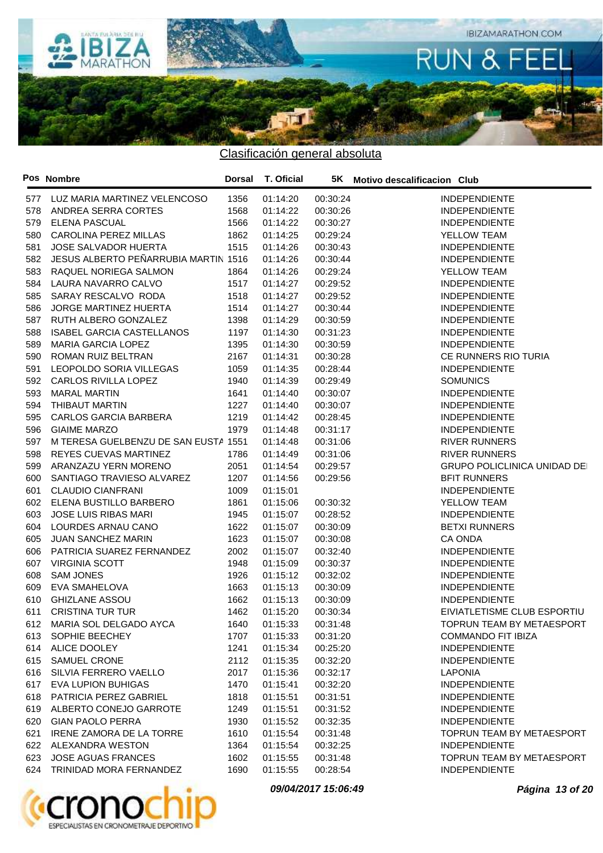

Clasificación general absoluta

|     | Pos Nombre                           | Dorsal | T. Oficial    |          | 5K Motivo descalificacion Club      |
|-----|--------------------------------------|--------|---------------|----------|-------------------------------------|
| 577 | LUZ MARIA MARTINEZ VELENCOSO         | 1356   | 01:14:20      | 00:30:24 | <b>INDEPENDIENTE</b>                |
| 578 | ANDREA SERRA CORTES                  | 1568   | 01:14:22      | 00:30:26 | <b>INDEPENDIENTE</b>                |
| 579 | <b>ELENA PASCUAL</b>                 | 1566   | 01:14:22      | 00:30:27 | <b>INDEPENDIENTE</b>                |
| 580 | CAROLINA PEREZ MILLAS                | 1862   | 01:14:25      | 00:29:24 | YELLOW TEAM                         |
| 581 | <b>JOSE SALVADOR HUERTA</b>          | 1515   | 01:14:26      | 00:30:43 | <b>INDEPENDIENTE</b>                |
| 582 | JESUS ALBERTO PEÑARRUBIA MARTIN 1516 |        | 01:14:26      | 00:30:44 | <b>INDEPENDIENTE</b>                |
| 583 | RAQUEL NORIEGA SALMON                | 1864   | 01:14:26      | 00:29:24 | YELLOW TEAM                         |
| 584 | LAURA NAVARRO CALVO                  | 1517   | 01:14:27      | 00:29:52 | <b>INDEPENDIENTE</b>                |
| 585 | SARAY RESCALVO RODA                  | 1518   | 01:14:27      | 00:29:52 | <b>INDEPENDIENTE</b>                |
| 586 | JORGE MARTINEZ HUERTA                | 1514   | 01:14:27      | 00:30:44 | <b>INDEPENDIENTE</b>                |
| 587 | RUTH ALBERO GONZALEZ                 | 1398   | 01:14:29      | 00:30:59 | <b>INDEPENDIENTE</b>                |
| 588 | <b>ISABEL GARCIA CASTELLANOS</b>     | 1197   | 01:14:30      | 00:31:23 | <b>INDEPENDIENTE</b>                |
| 589 | <b>MARIA GARCIA LOPEZ</b>            | 1395   | 01:14:30      | 00:30:59 | <b>INDEPENDIENTE</b>                |
| 590 | ROMAN RUIZ BELTRAN                   | 2167   | 01:14:31      | 00:30:28 | CE RUNNERS RIO TURIA                |
| 591 | LEOPOLDO SORIA VILLEGAS              | 1059   | 01:14:35      | 00:28:44 | <b>INDEPENDIENTE</b>                |
| 592 | CARLOS RIVILLA LOPEZ                 | 1940   | 01:14:39      | 00:29:49 | <b>SOMUNICS</b>                     |
| 593 | <b>MARAL MARTIN</b>                  | 1641   | 01:14:40      | 00:30:07 | <b>INDEPENDIENTE</b>                |
| 594 | THIBAUT MARTIN                       | 1227   | 01:14:40      | 00:30:07 | <b>INDEPENDIENTE</b>                |
| 595 | <b>CARLOS GARCIA BARBERA</b>         | 1219   | 01:14:42      | 00:28:45 | <b>INDEPENDIENTE</b>                |
| 596 | <b>GIAIME MARZO</b>                  | 1979   | 01:14:48      | 00:31:17 | <b>INDEPENDIENTE</b>                |
| 597 | M TERESA GUELBENZU DE SAN EUSTA 1551 |        | 01:14:48      | 00:31:06 | <b>RIVER RUNNERS</b>                |
|     | REYES CUEVAS MARTINEZ                | 1786   | 01:14:49      |          | <b>RIVER RUNNERS</b>                |
| 598 |                                      |        |               | 00:31:06 |                                     |
| 599 | ARANZAZU YERN MORENO                 | 2051   | 01:14:54      | 00:29:57 | <b>GRUPO POLICLINICA UNIDAD DEI</b> |
| 600 | SANTIAGO TRAVIESO ALVAREZ            | 1207   | 01:14:56      | 00:29:56 | <b>BFIT RUNNERS</b>                 |
| 601 | <b>CLAUDIO CIANFRANI</b>             | 1009   | 01:15:01      |          | <b>INDEPENDIENTE</b>                |
| 602 | ELENA BUSTILLO BARBERO               | 1861   | 01:15:06      | 00:30:32 | YELLOW TEAM                         |
| 603 | <b>JOSE LUIS RIBAS MARI</b>          | 1945   | 01:15:07      | 00:28:52 | <b>INDEPENDIENTE</b>                |
| 604 | LOURDES ARNAU CANO                   | 1622   | 01:15:07      | 00:30:09 | <b>BETXI RUNNERS</b>                |
| 605 | <b>JUAN SANCHEZ MARIN</b>            | 1623   | 01:15:07      | 00:30:08 | CA ONDA                             |
| 606 | PATRICIA SUAREZ FERNANDEZ            | 2002   | 01:15:07      | 00:32:40 | <b>INDEPENDIENTE</b>                |
| 607 | <b>VIRGINIA SCOTT</b>                | 1948   | 01:15:09      | 00:30:37 | <b>INDEPENDIENTE</b>                |
| 608 | <b>SAM JONES</b>                     | 1926   | 01:15:12      | 00:32:02 | <b>INDEPENDIENTE</b>                |
| 609 | EVA SMAHELOVA                        | 1663   | 01:15:13      | 00:30:09 | <b>INDEPENDIENTE</b>                |
| 610 | <b>GHIZLANE ASSOU</b>                | 1662   | 01:15:13      | 00:30:09 | <b>INDEPENDIENTE</b>                |
| 611 | <b>CRISTINA TUR TUR</b>              | 1462   | 01:15:20      | 00:30:34 | EIVIATLETISME CLUB ESPORTIU         |
|     | 612 MARIA SOL DELGADO AYCA           |        | 1640 01:15:33 | 00:31:48 | TOPRUN TEAM BY METAESPORT           |
|     | 613 SOPHIE BEECHEY                   | 1707   | 01:15:33      | 00:31:20 | <b>COMMANDO FIT IBIZA</b>           |
|     | 614 ALICE DOOLEY                     | 1241   | 01:15:34      | 00:25:20 | <b>INDEPENDIENTE</b>                |
| 615 | SAMUEL CRONE                         | 2112   | 01:15:35      | 00:32:20 | <b>INDEPENDIENTE</b>                |
| 616 | SILVIA FERRERO VAELLO                | 2017   | 01:15:36      | 00:32:17 | <b>LAPONIA</b>                      |
| 617 | EVA LUPION BUHIGAS                   | 1470   | 01:15:41      | 00:32:20 | <b>INDEPENDIENTE</b>                |
| 618 | PATRICIA PEREZ GABRIEL               | 1818   | 01:15:51      | 00:31:51 | <b>INDEPENDIENTE</b>                |
|     | 619 ALBERTO CONEJO GARROTE           | 1249   | 01:15:51      | 00:31:52 | <b>INDEPENDIENTE</b>                |
| 620 | <b>GIAN PAOLO PERRA</b>              | 1930   | 01:15:52      | 00:32:35 | <b>INDEPENDIENTE</b>                |
| 621 | IRENE ZAMORA DE LA TORRE             | 1610   | 01:15:54      | 00:31:48 | TOPRUN TEAM BY METAESPORT           |
|     | 622 ALEXANDRA WESTON                 | 1364   | 01:15:54      | 00:32:25 | <b>INDEPENDIENTE</b>                |
|     | 623 JOSE AGUAS FRANCES               | 1602   | 01:15:55      | 00:31:48 | TOPRUN TEAM BY METAESPORT           |
|     | 624 TRINIDAD MORA FERNANDEZ          | 1690   | 01:15:55      | 00:28:54 | <b>INDEPENDIENTE</b>                |
|     |                                      |        |               |          |                                     |



**09/04/2017 15:06:49 Página 13 of 20**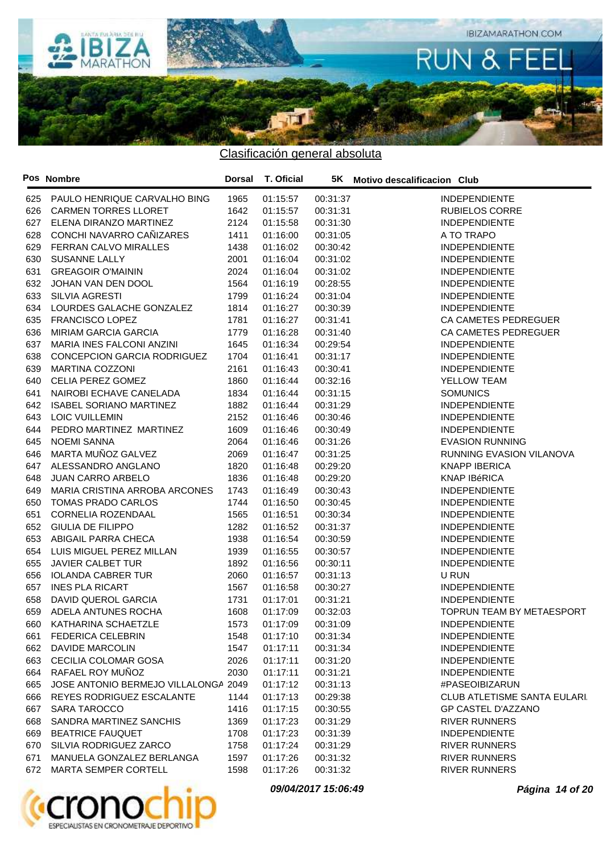

Clasificación general absoluta

|     | Pos Nombre                           | Dorsal | <b>T. Oficial</b> |          | 5K Motivo descalificacion Club     |
|-----|--------------------------------------|--------|-------------------|----------|------------------------------------|
| 625 | PAULO HENRIQUE CARVALHO BING         | 1965   | 01:15:57          | 00:31:37 | <b>INDEPENDIENTE</b>               |
| 626 | <b>CARMEN TORRES LLORET</b>          | 1642   | 01:15:57          | 00:31:31 | <b>RUBIELOS CORRE</b>              |
| 627 | ELENA DIRANZO MARTINEZ               | 2124   | 01:15:58          | 00:31:30 | <b>INDEPENDIENTE</b>               |
| 628 | CONCHI NAVARRO CAÑIZARES             | 1411   | 01:16:00          | 00:31:05 | A TO TRAPO                         |
| 629 | FERRAN CALVO MIRALLES                | 1438   | 01:16:02          | 00:30:42 | <b>INDEPENDIENTE</b>               |
| 630 | SUSANNE LALLY                        | 2001   | 01:16:04          | 00:31:02 | <b>INDEPENDIENTE</b>               |
| 631 | <b>GREAGOIR O'MAININ</b>             | 2024   | 01:16:04          | 00:31:02 | <b>INDEPENDIENTE</b>               |
| 632 | JOHAN VAN DEN DOOL                   | 1564   | 01:16:19          | 00:28:55 | <b>INDEPENDIENTE</b>               |
| 633 | SILVIA AGRESTI                       | 1799   | 01:16:24          | 00:31:04 | <b>INDEPENDIENTE</b>               |
| 634 | LOURDES GALACHE GONZALEZ             | 1814   | 01:16:27          | 00:30:39 | <b>INDEPENDIENTE</b>               |
| 635 | <b>FRANCISCO LOPEZ</b>               | 1781   | 01:16:27          | 00:31:41 | CA CAMETES PEDREGUER               |
| 636 | <b>MIRIAM GARCIA GARCIA</b>          | 1779   | 01:16:28          | 00:31:40 | CA CAMETES PEDREGUER               |
| 637 | MARIA INES FALCONI ANZINI            | 1645   | 01:16:34          | 00:29:54 | <b>INDEPENDIENTE</b>               |
| 638 | CONCEPCION GARCIA RODRIGUEZ          | 1704   | 01:16:41          | 00:31:17 | <b>INDEPENDIENTE</b>               |
| 639 | <b>MARTINA COZZONI</b>               | 2161   | 01:16:43          | 00:30:41 | <b>INDEPENDIENTE</b>               |
| 640 | CELIA PEREZ GOMEZ                    | 1860   | 01:16:44          | 00:32:16 | YELLOW TEAM                        |
| 641 | NAIROBI ECHAVE CANELADA              | 1834   | 01:16:44          | 00:31:15 | <b>SOMUNICS</b>                    |
| 642 | <b>ISABEL SORIANO MARTINEZ</b>       | 1882   | 01:16:44          | 00:31:29 | <b>INDEPENDIENTE</b>               |
| 643 | <b>LOIC VUILLEMIN</b>                | 2152   | 01:16:46          | 00:30:46 | <b>INDEPENDIENTE</b>               |
| 644 | PEDRO MARTINEZ MARTINEZ              | 1609   | 01:16:46          | 00:30:49 | <b>INDEPENDIENTE</b>               |
| 645 | <b>NOEMI SANNA</b>                   | 2064   | 01:16:46          | 00:31:26 | <b>EVASION RUNNING</b>             |
| 646 | MARTA MUÑOZ GALVEZ                   | 2069   | 01:16:47          | 00:31:25 | RUNNING EVASION VILANOVA           |
| 647 | ALESSANDRO ANGLANO                   | 1820   | 01:16:48          | 00:29:20 | <b>KNAPP IBERICA</b>               |
| 648 | <b>JUAN CARRO ARBELO</b>             | 1836   | 01:16:48          | 00:29:20 | <b>KNAP IBéRICA</b>                |
| 649 | MARIA CRISTINA ARROBA ARCONES        | 1743   | 01:16:49          | 00:30:43 | <b>INDEPENDIENTE</b>               |
| 650 | TOMAS PRADO CARLOS                   | 1744   | 01:16:50          | 00:30:45 | <b>INDEPENDIENTE</b>               |
| 651 | CORNELIA ROZENDAAL                   | 1565   | 01:16:51          | 00:30:34 | <b>INDEPENDIENTE</b>               |
| 652 | <b>GIULIA DE FILIPPO</b>             | 1282   | 01:16:52          | 00:31:37 | <b>INDEPENDIENTE</b>               |
| 653 | ABIGAIL PARRA CHECA                  | 1938   | 01:16:54          | 00:30:59 | <b>INDEPENDIENTE</b>               |
| 654 | LUIS MIGUEL PEREZ MILLAN             | 1939   | 01:16:55          | 00:30:57 | <b>INDEPENDIENTE</b>               |
| 655 | <b>JAVIER CALBET TUR</b>             | 1892   | 01:16:56          | 00:30:11 | <b>INDEPENDIENTE</b>               |
| 656 | <b>IOLANDA CABRER TUR</b>            | 2060   | 01:16:57          | 00:31:13 | U RUN                              |
| 657 | <b>INES PLA RICART</b>               | 1567   | 01:16:58          | 00:30:27 | <b>INDEPENDIENTE</b>               |
| 658 | <b>DAVID QUEROL GARCIA</b>           | 1731   | 01:17:01          | 00:31:21 | <b>INDEPENDIENTE</b>               |
| 659 | ADELA ANTUNES ROCHA                  | 1608   | 01:17:09          | 00:32:03 | TOPRUN TEAM BY METAESPORT          |
|     | 660 KATHARINA SCHAETZLE              | 1573   | 01:17:09          | 00:31:09 | INDEPENDIENTE                      |
|     | 661 FEDERICA CELEBRIN                | 1548   | 01:17:10          | 00:31:34 | <b>INDEPENDIENTE</b>               |
| 662 | DAVIDE MARCOLIN                      | 1547   | 01:17:11          | 00:31:34 | <b>INDEPENDIENTE</b>               |
| 663 | CECILIA COLOMAR GOSA                 | 2026   | 01:17:11          | 00:31:20 | <b>INDEPENDIENTE</b>               |
| 664 | RAFAEL ROY MUÑOZ                     | 2030   | 01:17:11          | 00:31:21 | <b>INDEPENDIENTE</b>               |
| 665 | JOSE ANTONIO BERMEJO VILLALONGA 2049 |        | 01:17:12          | 00:31:13 | #PASEOIBIZARUN                     |
| 666 | REYES RODRIGUEZ ESCALANTE            | 1144   | 01:17:13          | 00:29:38 | <b>CLUB ATLETISME SANTA EULARI</b> |
| 667 | SARA TAROCCO                         | 1416   | 01:17:15          | 00:30:55 | GP CASTEL D'AZZANO                 |
| 668 | SANDRA MARTINEZ SANCHIS              | 1369   | 01:17:23          | 00:31:29 | <b>RIVER RUNNERS</b>               |
| 669 | <b>BEATRICE FAUQUET</b>              | 1708   | 01:17:23          | 00:31:39 | <b>INDEPENDIENTE</b>               |
| 670 | SILVIA RODRIGUEZ ZARCO               | 1758   | 01:17:24          | 00:31:29 | <b>RIVER RUNNERS</b>               |
| 671 | MANUELA GONZALEZ BERLANGA            | 1597   | 01:17:26          | 00:31:32 | <b>RIVER RUNNERS</b>               |
| 672 | MARTA SEMPER CORTELL                 | 1598   | 01:17:26          | 00:31:32 | <b>RIVER RUNNERS</b>               |



**09/04/2017 15:06:49 Página 14 of 20**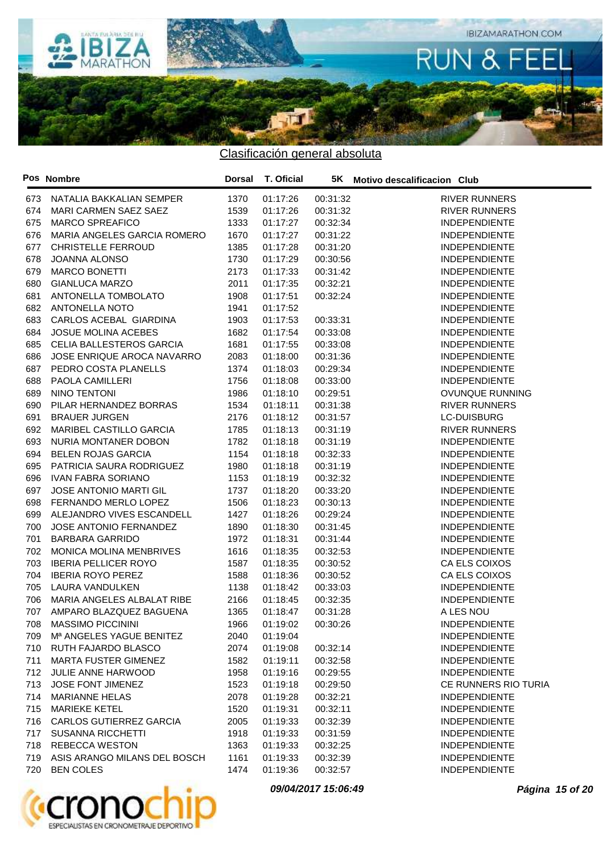

Clasificación general absoluta

|     | Pos Nombre                    | <b>Dorsal</b> | T. Oficial |          | 5K Motivo descalificacion Club |
|-----|-------------------------------|---------------|------------|----------|--------------------------------|
| 673 | NATALIA BAKKALIAN SEMPER      | 1370          | 01:17:26   | 00:31:32 | <b>RIVER RUNNERS</b>           |
| 674 | MARI CARMEN SAEZ SAEZ         | 1539          | 01:17:26   | 00:31:32 | <b>RIVER RUNNERS</b>           |
| 675 | <b>MARCO SPREAFICO</b>        | 1333          | 01:17:27   | 00:32:34 | <b>INDEPENDIENTE</b>           |
| 676 | MARIA ANGELES GARCIA ROMERO   | 1670          | 01:17:27   | 00:31:22 | <b>INDEPENDIENTE</b>           |
| 677 | <b>CHRISTELLE FERROUD</b>     | 1385          | 01:17:28   | 00:31:20 | <b>INDEPENDIENTE</b>           |
| 678 | <b>JOANNA ALONSO</b>          | 1730          | 01:17:29   | 00:30:56 | <b>INDEPENDIENTE</b>           |
| 679 | <b>MARCO BONETTI</b>          | 2173          | 01:17:33   | 00:31:42 | <b>INDEPENDIENTE</b>           |
| 680 | <b>GIANLUCA MARZO</b>         | 2011          | 01:17:35   | 00:32:21 | <b>INDEPENDIENTE</b>           |
| 681 | ANTONELLA TOMBOLATO           | 1908          | 01:17:51   | 00:32:24 | <b>INDEPENDIENTE</b>           |
| 682 | <b>ANTONELLA NOTO</b>         | 1941          | 01:17:52   |          | <b>INDEPENDIENTE</b>           |
| 683 | CARLOS ACEBAL GIARDINA        | 1903          | 01:17:53   | 00:33:31 | <b>INDEPENDIENTE</b>           |
| 684 | <b>JOSUE MOLINA ACEBES</b>    | 1682          | 01:17:54   | 00:33:08 | <b>INDEPENDIENTE</b>           |
| 685 | CELIA BALLESTEROS GARCIA      | 1681          | 01:17:55   | 00:33:08 | <b>INDEPENDIENTE</b>           |
| 686 | JOSE ENRIQUE AROCA NAVARRO    | 2083          | 01:18:00   | 00:31:36 | <b>INDEPENDIENTE</b>           |
| 687 | PEDRO COSTA PLANELLS          | 1374          | 01:18:03   | 00:29:34 | <b>INDEPENDIENTE</b>           |
| 688 | PAOLA CAMILLERI               | 1756          | 01:18:08   | 00:33:00 | <b>INDEPENDIENTE</b>           |
| 689 | NINO TENTONI                  | 1986          | 01:18:10   | 00:29:51 | <b>OVUNQUE RUNNING</b>         |
| 690 | PILAR HERNANDEZ BORRAS        | 1534          | 01:18:11   | 00:31:38 | <b>RIVER RUNNERS</b>           |
| 691 | <b>BRAUER JURGEN</b>          | 2176          | 01:18:12   | 00:31:57 | <b>LC-DUISBURG</b>             |
| 692 | MARIBEL CASTILLO GARCIA       | 1785          | 01:18:13   | 00:31:19 | <b>RIVER RUNNERS</b>           |
| 693 | NURIA MONTANER DOBON          | 1782          | 01:18:18   | 00:31:19 | <b>INDEPENDIENTE</b>           |
| 694 | <b>BELEN ROJAS GARCIA</b>     | 1154          | 01:18:18   | 00:32:33 | <b>INDEPENDIENTE</b>           |
| 695 | PATRICIA SAURA RODRIGUEZ      | 1980          | 01:18:18   | 00:31:19 | <b>INDEPENDIENTE</b>           |
| 696 | <b>IVAN FABRA SORIANO</b>     | 1153          | 01:18:19   | 00:32:32 | <b>INDEPENDIENTE</b>           |
| 697 | <b>JOSE ANTONIO MARTI GIL</b> | 1737          | 01:18:20   | 00:33:20 | <b>INDEPENDIENTE</b>           |
| 698 | FERNANDO MERLO LOPEZ          | 1506          | 01:18:23   | 00:30:13 | <b>INDEPENDIENTE</b>           |
| 699 | ALEJANDRO VIVES ESCANDELL     | 1427          | 01:18:26   | 00:29:24 | <b>INDEPENDIENTE</b>           |
| 700 | <b>JOSE ANTONIO FERNANDEZ</b> | 1890          | 01:18:30   | 00:31:45 | <b>INDEPENDIENTE</b>           |
| 701 | <b>BARBARA GARRIDO</b>        | 1972          | 01:18:31   | 00:31:44 | <b>INDEPENDIENTE</b>           |
| 702 | MONICA MOLINA MENBRIVES       | 1616          | 01:18:35   | 00:32:53 | <b>INDEPENDIENTE</b>           |
| 703 | <b>IBERIA PELLICER ROYO</b>   | 1587          | 01:18:35   | 00:30:52 | CA ELS COIXOS                  |
| 704 | <b>IBERIA ROYO PEREZ</b>      | 1588          | 01:18:36   | 00:30:52 | CA ELS COIXOS                  |
| 705 | <b>LAURA VANDULKEN</b>        | 1138          | 01:18:42   | 00:33:03 | <b>INDEPENDIENTE</b>           |
| 706 | MARIA ANGELES ALBALAT RIBE    | 2166          | 01:18:45   | 00:32:35 | <b>INDEPENDIENTE</b>           |
| 707 | AMPARO BLAZQUEZ BAGUENA       | 1365          | 01:18:47   | 00:31:28 | A LES NOU                      |
| 708 | <b>MASSIMO PICCININI</b>      | 1966          | 01:19:02   | 00:30:26 | <b>INDEPENDIENTE</b>           |
| 709 | Mª ANGELES YAGUE BENITEZ      | 2040          | 01:19:04   |          | <b>INDEPENDIENTE</b>           |
| 710 | RUTH FAJARDO BLASCO           | 2074          | 01:19:08   | 00:32:14 | <b>INDEPENDIENTE</b>           |
| 711 | MARTA FUSTER GIMENEZ          | 1582          | 01:19:11   | 00:32:58 | <b>INDEPENDIENTE</b>           |
| 712 | JULIE ANNE HARWOOD            | 1958          | 01:19:16   | 00:29:55 | <b>INDEPENDIENTE</b>           |
| 713 | <b>JOSE FONT JIMENEZ</b>      | 1523          | 01:19:18   | 00:29:50 | CE RUNNERS RIO TURIA           |
| 714 | <b>MARIANNE HELAS</b>         | 2078          | 01:19:28   | 00:32:21 | <b>INDEPENDIENTE</b>           |
| 715 | <b>MARIEKE KETEL</b>          | 1520          | 01:19:31   | 00:32:11 | <b>INDEPENDIENTE</b>           |
| 716 | CARLOS GUTIERREZ GARCIA       | 2005          | 01:19:33   | 00:32:39 | <b>INDEPENDIENTE</b>           |
| 717 | <b>SUSANNA RICCHETTI</b>      | 1918          | 01:19:33   | 00:31:59 | <b>INDEPENDIENTE</b>           |
| 718 | <b>REBECCA WESTON</b>         | 1363          | 01:19:33   | 00:32:25 | <b>INDEPENDIENTE</b>           |
| 719 | ASIS ARANGO MILANS DEL BOSCH  | 1161          | 01:19:33   | 00:32:39 | <b>INDEPENDIENTE</b>           |
| 720 | <b>BEN COLES</b>              | 1474          | 01:19:36   | 00:32:57 | <b>INDEPENDIENTE</b>           |



**09/04/2017 15:06:49 Página 15 of 20**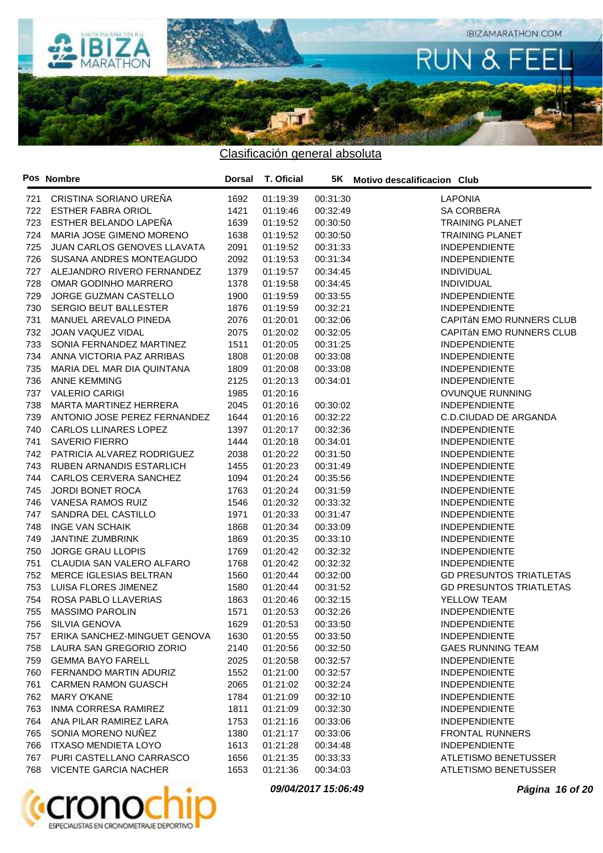

|     | Pos Nombre                       | <b>Dorsal</b> | T. Oficial |          | 5K Motivo descalificacion Club |
|-----|----------------------------------|---------------|------------|----------|--------------------------------|
| 721 | CRISTINA SORIANO UREÑA           | 1692          | 01:19:39   | 00:31:30 | <b>LAPONIA</b>                 |
| 722 | <b>ESTHER FABRA ORIOL</b>        | 1421          | 01:19:46   | 00:32:49 | <b>SA CORBERA</b>              |
| 723 | ESTHER BELANDO LAPEÑA            | 1639          | 01:19:52   | 00:30:50 | <b>TRAINING PLANET</b>         |
| 724 | MARIA JOSE GIMENO MORENO         | 1638          | 01:19:52   | 00:30:50 | <b>TRAINING PLANET</b>         |
| 725 | JUAN CARLOS GENOVES LLAVATA      | 2091          | 01:19:52   | 00:31:33 | <b>INDEPENDIENTE</b>           |
| 726 | SUSANA ANDRES MONTEAGUDO         | 2092          | 01:19:53   | 00:31:34 | <b>INDEPENDIENTE</b>           |
| 727 | ALEJANDRO RIVERO FERNANDEZ       | 1379          | 01:19:57   | 00:34:45 | <b>INDIVIDUAL</b>              |
| 728 | OMAR GODINHO MARRERO             | 1378          | 01:19:58   | 00:34:45 | <b>INDIVIDUAL</b>              |
| 729 | JORGE GUZMAN CASTELLO            | 1900          | 01:19:59   | 00:33:55 | <b>INDEPENDIENTE</b>           |
| 730 | <b>SERGIO BEUT BALLESTER</b>     | 1876          | 01:19:59   | 00:32:21 | <b>INDEPENDIENTE</b>           |
| 731 | MANUEL AREVALO PINEDA            | 2076          | 01:20:01   | 00:32:06 | CAPITÁN EMO RUNNERS CLUB       |
| 732 | JOAN VAQUEZ VIDAL                | 2075          | 01:20:02   | 00:32:05 | CAPITÁN EMO RUNNERS CLUB       |
| 733 | SONIA FERNANDEZ MARTINEZ         | 1511          | 01:20:05   | 00:31:25 | <b>INDEPENDIENTE</b>           |
| 734 | ANNA VICTORIA PAZ ARRIBAS        | 1808          | 01:20:08   | 00:33:08 | <b>INDEPENDIENTE</b>           |
| 735 | MARIA DEL MAR DIA QUINTANA       | 1809          | 01:20:08   | 00:33:08 | <b>INDEPENDIENTE</b>           |
| 736 | <b>ANNE KEMMING</b>              | 2125          | 01:20:13   | 00:34:01 | <b>INDEPENDIENTE</b>           |
| 737 | <b>VALERIO CARIGI</b>            | 1985          | 01:20:16   |          | OVUNQUE RUNNING                |
| 738 | MARTA MARTINEZ HERRERA           | 2045          | 01:20:16   | 00:30:02 | <b>INDEPENDIENTE</b>           |
| 739 | ANTONIO JOSE PEREZ FERNANDEZ     | 1644          | 01:20:16   | 00:32:22 | C.D.CIUDAD DE ARGANDA          |
| 740 | <b>CARLOS LLINARES LOPEZ</b>     | 1397          | 01:20:17   | 00:32:36 | <b>INDEPENDIENTE</b>           |
| 741 | <b>SAVERIO FIERRO</b>            | 1444          | 01:20:18   | 00:34:01 | <b>INDEPENDIENTE</b>           |
| 742 | PATRICIA ALVAREZ RODRIGUEZ       | 2038          | 01:20:22   | 00:31:50 | <b>INDEPENDIENTE</b>           |
| 743 | RUBEN ARNANDIS ESTARLICH         | 1455          | 01:20:23   | 00:31:49 | <b>INDEPENDIENTE</b>           |
| 744 | CARLOS CERVERA SANCHEZ           | 1094          | 01:20:24   | 00:35:56 | <b>INDEPENDIENTE</b>           |
| 745 | <b>JORDI BONET ROCA</b>          | 1763          | 01:20:24   | 00:31:59 | <b>INDEPENDIENTE</b>           |
| 746 | VANESA RAMOS RUIZ                | 1546          | 01:20:32   | 00:33:32 | <b>INDEPENDIENTE</b>           |
| 747 | SANDRA DEL CASTILLO              | 1971          | 01:20:33   | 00:31:47 | <b>INDEPENDIENTE</b>           |
| 748 | <b>INGE VAN SCHAIK</b>           | 1868          | 01:20:34   | 00:33:09 | <b>INDEPENDIENTE</b>           |
| 749 | JANTINE ZUMBRINK                 | 1869          | 01:20:35   | 00:33:10 | <b>INDEPENDIENTE</b>           |
| 750 | <b>JORGE GRAU LLOPIS</b>         | 1769          | 01:20:42   | 00:32:32 | <b>INDEPENDIENTE</b>           |
| 751 | CLAUDIA SAN VALERO ALFARO        | 1768          | 01:20:42   | 00:32:32 | <b>INDEPENDIENTE</b>           |
| 752 | MERCE IGLESIAS BELTRAN           | 1560          | 01:20:44   | 00:32:00 | <b>GD PRESUNTOS TRIATLETAS</b> |
| 753 | LUISA FLORES JIMENEZ             | 1580          | 01:20:44   | 00:31:52 | <b>GD PRESUNTOS TRIATLETAS</b> |
| 754 | ROSA PABLO LLAVERIAS             | 1863          | 01:20:46   | 00:32:15 | YELLOW TEAM                    |
| 755 | <b>MASSIMO PAROLIN</b>           | 1571          | 01:20:53   | 00:32:26 | <b>INDEPENDIENTE</b>           |
| 756 | <b>SILVIA GENOVA</b>             | 1629          | 01:20:53   | 00:33:50 | <b>INDEPENDIENTE</b>           |
|     | 757 ERIKA SANCHEZ-MINGUET GENOVA | 1630          | 01:20:55   | 00:33:50 | <b>INDEPENDIENTE</b>           |
| 758 | LAURA SAN GREGORIO ZORIO         | 2140          | 01:20:56   | 00:32:50 | <b>GAES RUNNING TEAM</b>       |
| 759 | <b>GEMMA BAYO FARELL</b>         | 2025          | 01:20:58   | 00:32:57 | <b>INDEPENDIENTE</b>           |
| 760 | FERNANDO MARTIN ADURIZ           | 1552          | 01:21:00   | 00:32:57 | <b>INDEPENDIENTE</b>           |
| 761 | <b>CARMEN RAMON GUASCH</b>       | 2065          | 01:21:02   | 00:32:24 | <b>INDEPENDIENTE</b>           |
| 762 | <b>MARY O'KANE</b>               | 1784          | 01:21:09   | 00:32:10 | <b>INDEPENDIENTE</b>           |
| 763 | INMA CORRESA RAMIREZ             | 1811          | 01:21:09   | 00:32:30 | <b>INDEPENDIENTE</b>           |
| 764 | ANA PILAR RAMIREZ LARA           | 1753          | 01:21:16   | 00:33:06 | <b>INDEPENDIENTE</b>           |
| 765 | SONIA MORENO NUÑEZ               | 1380          | 01:21:17   | 00:33:06 | <b>FRONTAL RUNNERS</b>         |
| 766 | <b>ITXASO MENDIETA LOYO</b>      | 1613          | 01:21:28   | 00:34:48 | <b>INDEPENDIENTE</b>           |
| 767 | PURI CASTELLANO CARRASCO         | 1656          | 01:21:35   | 00:33:33 | ATLETISMO BENETUSSER           |
| 768 | <b>VICENTE GARCIA NACHER</b>     | 1653          | 01:21:36   | 00:34:03 | ATLETISMO BENETUSSER           |



**09/04/2017 15:06:49 Página 16 of 20**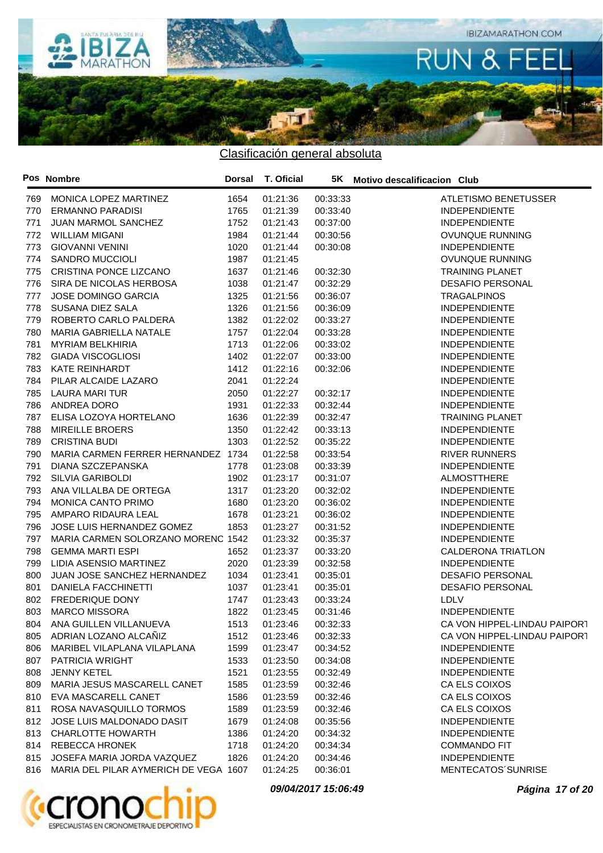

|     | Pos Nombre                            | Dorsal | <b>T. Oficial</b> |          | 5K Motivo descalificacion Club |
|-----|---------------------------------------|--------|-------------------|----------|--------------------------------|
| 769 | MONICA LOPEZ MARTINEZ                 | 1654   | 01:21:36          | 00:33:33 | ATLETISMO BENETUSSER           |
| 770 | <b>ERMANNO PARADISI</b>               | 1765   | 01:21:39          | 00:33:40 | <b>INDEPENDIENTE</b>           |
| 771 | JUAN MARMOL SANCHEZ                   | 1752   | 01:21:43          | 00:37:00 | <b>INDEPENDIENTE</b>           |
| 772 | <b>WILLIAM MIGANI</b>                 | 1984   | 01:21:44          | 00:30:56 | <b>OVUNQUE RUNNING</b>         |
| 773 | <b>GIOVANNI VENINI</b>                | 1020   | 01:21:44          | 00:30:08 | <b>INDEPENDIENTE</b>           |
| 774 | <b>SANDRO MUCCIOLI</b>                | 1987   | 01:21:45          |          | <b>OVUNQUE RUNNING</b>         |
| 775 | CRISTINA PONCE LIZCANO                | 1637   | 01:21:46          | 00:32:30 | <b>TRAINING PLANET</b>         |
| 776 | SIRA DE NICOLAS HERBOSA               | 1038   | 01:21:47          | 00:32:29 | <b>DESAFIO PERSONAL</b>        |
| 777 | <b>JOSE DOMINGO GARCIA</b>            | 1325   | 01:21:56          | 00:36:07 | <b>TRAGALPINOS</b>             |
| 778 | SUSANA DIEZ SALA                      | 1326   | 01:21:56          | 00:36:09 | <b>INDEPENDIENTE</b>           |
| 779 | ROBERTO CARLO PALDERA                 | 1382   | 01:22:02          | 00:33:27 | <b>INDEPENDIENTE</b>           |
| 780 | MARIA GABRIELLA NATALE                | 1757   | 01:22:04          | 00:33:28 | <b>INDEPENDIENTE</b>           |
| 781 | <b>MYRIAM BELKHIRIA</b>               | 1713   | 01:22:06          | 00:33:02 | <b>INDEPENDIENTE</b>           |
| 782 | <b>GIADA VISCOGLIOSI</b>              | 1402   | 01:22:07          | 00:33:00 | <b>INDEPENDIENTE</b>           |
| 783 | <b>KATE REINHARDT</b>                 | 1412   | 01:22:16          | 00:32:06 | <b>INDEPENDIENTE</b>           |
| 784 | PILAR ALCAIDE LAZARO                  | 2041   | 01:22:24          |          | <b>INDEPENDIENTE</b>           |
| 785 | <b>LAURA MARI TUR</b>                 | 2050   | 01:22:27          | 00:32:17 | <b>INDEPENDIENTE</b>           |
| 786 | ANDREA DORO                           | 1931   | 01:22:33          | 00:32:44 | <b>INDEPENDIENTE</b>           |
| 787 | ELISA LOZOYA HORTELANO                | 1636   | 01:22:39          | 00:32:47 | <b>TRAINING PLANET</b>         |
| 788 | <b>MIREILLE BROERS</b>                | 1350   | 01:22:42          | 00:33:13 | <b>INDEPENDIENTE</b>           |
| 789 | <b>CRISTINA BUDI</b>                  | 1303   | 01:22:52          | 00:35:22 | <b>INDEPENDIENTE</b>           |
| 790 | MARIA CARMEN FERRER HERNANDEZ 1734    |        | 01:22:58          | 00:33:54 | <b>RIVER RUNNERS</b>           |
| 791 | DIANA SZCZEPANSKA                     | 1778   | 01:23:08          | 00:33:39 | <b>INDEPENDIENTE</b>           |
| 792 | <b>SILVIA GARIBOLDI</b>               | 1902   | 01:23:17          | 00:31:07 | ALMOSTTHERE                    |
| 793 | ANA VILLALBA DE ORTEGA                | 1317   | 01:23:20          | 00:32:02 | <b>INDEPENDIENTE</b>           |
| 794 | MONICA CANTO PRIMO                    | 1680   | 01:23:20          | 00:36:02 | <b>INDEPENDIENTE</b>           |
| 795 | AMPARO RIDAURA LEAL                   | 1678   | 01:23:21          | 00:36:02 | <b>INDEPENDIENTE</b>           |
| 796 | JOSE LUIS HERNANDEZ GOMEZ             | 1853   | 01:23:27          | 00:31:52 | <b>INDEPENDIENTE</b>           |
| 797 | MARIA CARMEN SOLORZANO MORENC 1542    |        | 01:23:32          | 00:35:37 | <b>INDEPENDIENTE</b>           |
| 798 | <b>GEMMA MARTI ESPI</b>               | 1652   | 01:23:37          | 00:33:20 | <b>CALDERONA TRIATLON</b>      |
| 799 | LIDIA ASENSIO MARTINEZ                | 2020   | 01:23:39          | 00:32:58 | <b>INDEPENDIENTE</b>           |
| 800 | JUAN JOSE SANCHEZ HERNANDEZ           | 1034   | 01:23:41          | 00:35:01 | <b>DESAFIO PERSONAL</b>        |
| 801 | DANIELA FACCHINETTI                   | 1037   | 01:23:41          | 00:35:01 | <b>DESAFIO PERSONAL</b>        |
| 802 | FREDERIQUE DONY                       | 1747   | 01:23:43          | 00:33:24 | LDLV                           |
| 803 | <b>MARCO MISSORA</b>                  | 1822   | 01:23:45          | 00:31:46 | <b>INDEPENDIENTE</b>           |
| 804 | ANA GUILLEN VILLANUEVA                | 1513   | 01:23:46          | 00:32:33 | CA VON HIPPEL-LINDAU PAIPORT   |
|     | 805 ADRIAN LOZANO ALCAÑIZ             | 1512   | 01:23:46          | 00:32:33 | CA VON HIPPEL-LINDAU PAIPORT   |
| 806 | MARIBEL VILAPLANA VILAPLANA           | 1599   | 01:23:47          | 00:34:52 | <b>INDEPENDIENTE</b>           |
| 807 | PATRICIA WRIGHT                       | 1533   | 01:23:50          | 00:34:08 | <b>INDEPENDIENTE</b>           |
|     | <b>JENNY KETEL</b>                    | 1521   |                   |          | <b>INDEPENDIENTE</b>           |
| 808 |                                       |        | 01:23:55          | 00:32:49 |                                |
| 809 | MARIA JESUS MASCARELL CANET           | 1585   | 01:23:59          | 00:32:46 | CA ELS COIXOS                  |
| 810 | EVA MASCARELL CANET                   | 1586   | 01:23:59          | 00:32:46 | CA ELS COIXOS                  |
| 811 | ROSA NAVASQUILLO TORMOS               | 1589   | 01:23:59          | 00:32:46 | CA ELS COIXOS                  |
| 812 | JOSE LUIS MALDONADO DASIT             | 1679   | 01:24:08          | 00:35:56 | <b>INDEPENDIENTE</b>           |
| 813 | <b>CHARLOTTE HOWARTH</b>              | 1386   | 01:24:20          | 00:34:32 | <b>INDEPENDIENTE</b>           |
| 814 | REBECCA HRONEK                        | 1718   | 01:24:20          | 00:34:34 | <b>COMMANDO FIT</b>            |
| 815 | JOSEFA MARIA JORDA VAZQUEZ            | 1826   | 01:24:20          | 00:34:46 | <b>INDEPENDIENTE</b>           |
| 816 | MARIA DEL PILAR AYMERICH DE VEGA 1607 |        | 01:24:25          | 00:36:01 | MENTECATOS'SUNRISE             |



**09/04/2017 15:06:49 Página 17 of 20**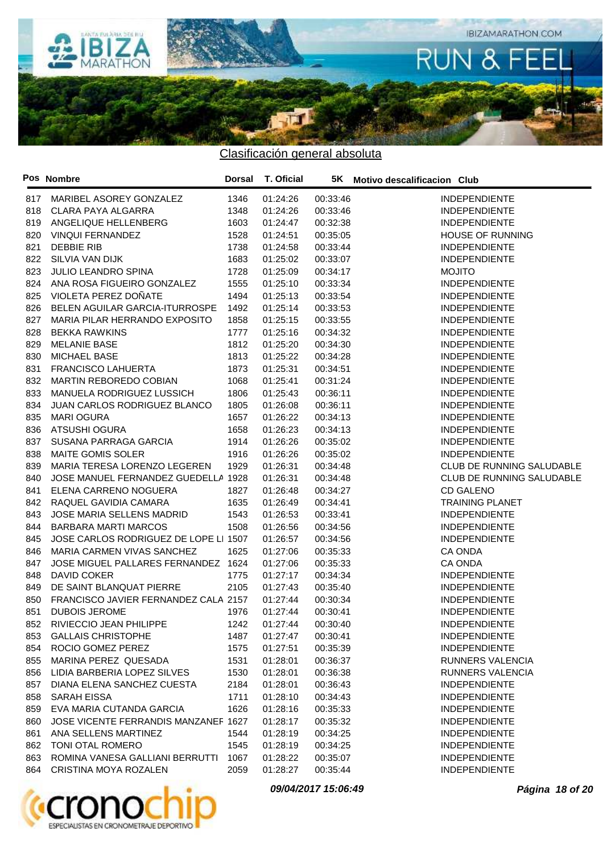

|     | Pos Nombre                            | Dorsal | <b>T. Oficial</b> |          | 5K Motivo descalificacion Club |
|-----|---------------------------------------|--------|-------------------|----------|--------------------------------|
| 817 | MARIBEL ASOREY GONZALEZ               | 1346   | 01:24:26          | 00:33:46 | <b>INDEPENDIENTE</b>           |
| 818 | CLARA PAYA ALGARRA                    | 1348   | 01:24:26          | 00:33:46 | <b>INDEPENDIENTE</b>           |
| 819 | ANGELIQUE HELLENBERG                  | 1603   | 01:24:47          | 00:32:38 | <b>INDEPENDIENTE</b>           |
| 820 | <b>VINQUI FERNANDEZ</b>               | 1528   | 01:24:51          | 00:35:05 | <b>HOUSE OF RUNNING</b>        |
| 821 | <b>DEBBIE RIB</b>                     | 1738   | 01:24:58          | 00:33:44 | <b>INDEPENDIENTE</b>           |
| 822 | SILVIA VAN DIJK                       | 1683   | 01:25:02          | 00:33:07 | <b>INDEPENDIENTE</b>           |
| 823 | <b>JULIO LEANDRO SPINA</b>            | 1728   | 01:25:09          | 00:34:17 | <b>MOJITO</b>                  |
| 824 | ANA ROSA FIGUEIRO GONZALEZ            | 1555   | 01:25:10          | 00:33:34 | <b>INDEPENDIENTE</b>           |
| 825 | VIOLETA PEREZ DOÑATE                  | 1494   | 01:25:13          | 00:33:54 | <b>INDEPENDIENTE</b>           |
| 826 | BELEN AGUILAR GARCIA-ITURROSPE        | 1492   | 01:25:14          | 00:33:53 | <b>INDEPENDIENTE</b>           |
| 827 | MARIA PILAR HERRANDO EXPOSITO         | 1858   | 01:25:15          | 00:33:55 | <b>INDEPENDIENTE</b>           |
| 828 | <b>BEKKA RAWKINS</b>                  | 1777   | 01:25:16          | 00:34:32 | <b>INDEPENDIENTE</b>           |
| 829 | <b>MELANIE BASE</b>                   | 1812   | 01:25:20          | 00:34:30 | <b>INDEPENDIENTE</b>           |
| 830 | MICHAEL BASE                          | 1813   | 01:25:22          | 00:34:28 | <b>INDEPENDIENTE</b>           |
| 831 | <b>FRANCISCO LAHUERTA</b>             | 1873   | 01:25:31          | 00:34:51 | <b>INDEPENDIENTE</b>           |
| 832 | MARTIN REBOREDO COBIAN                | 1068   | 01:25:41          | 00:31:24 | <b>INDEPENDIENTE</b>           |
| 833 | MANUELA RODRIGUEZ LUSSICH             | 1806   | 01:25:43          | 00:36:11 | <b>INDEPENDIENTE</b>           |
| 834 | JUAN CARLOS RODRIGUEZ BLANCO          | 1805   | 01:26:08          | 00:36:11 | <b>INDEPENDIENTE</b>           |
| 835 | <b>MARI OGURA</b>                     | 1657   | 01:26:22          | 00:34:13 | <b>INDEPENDIENTE</b>           |
| 836 | ATSUSHI OGURA                         | 1658   | 01:26:23          | 00:34:13 | <b>INDEPENDIENTE</b>           |
| 837 | SUSANA PARRAGA GARCIA                 | 1914   | 01:26:26          | 00:35:02 | <b>INDEPENDIENTE</b>           |
| 838 | MAITE GOMIS SOLER                     | 1916   | 01:26:26          | 00:35:02 | <b>INDEPENDIENTE</b>           |
| 839 | MARIA TERESA LORENZO LEGEREN          | 1929   | 01:26:31          | 00:34:48 | CLUB DE RUNNING SALUDABLE      |
| 840 | JOSE MANUEL FERNANDEZ GUEDELLA 1928   |        | 01:26:31          | 00:34:48 | CLUB DE RUNNING SALUDABLE      |
| 841 | ELENA CARRENO NOGUERA                 | 1827   | 01:26:48          | 00:34:27 | <b>CD GALENO</b>               |
| 842 | RAQUEL GAVIDIA CAMARA                 | 1635   | 01:26:49          | 00:34:41 | <b>TRAINING PLANET</b>         |
| 843 | JOSE MARIA SELLENS MADRID             | 1543   | 01:26:53          | 00:33:41 | <b>INDEPENDIENTE</b>           |
| 844 | <b>BARBARA MARTI MARCOS</b>           | 1508   | 01:26:56          | 00:34:56 | <b>INDEPENDIENTE</b>           |
| 845 | JOSE CARLOS RODRIGUEZ DE LOPE LI 1507 |        | 01:26:57          | 00:34:56 | <b>INDEPENDIENTE</b>           |
| 846 | MARIA CARMEN VIVAS SANCHEZ            | 1625   | 01:27:06          | 00:35:33 | CA ONDA                        |
| 847 | JOSE MIGUEL PALLARES FERNANDEZ 1624   |        | 01:27:06          | 00:35:33 | CA ONDA                        |
| 848 | DAVID COKER                           | 1775   | 01:27:17          | 00:34:34 | <b>INDEPENDIENTE</b>           |
| 849 | DE SAINT BLANQUAT PIERRE              | 2105   | 01:27:43          | 00:35:40 | <b>INDEPENDIENTE</b>           |
| 850 | FRANCISCO JAVIER FERNANDEZ CALA 2157  |        | 01:27:44          | 00:30:34 | <b>INDEPENDIENTE</b>           |
| 851 | <b>DUBOIS JEROME</b>                  | 1976   | 01:27:44          | 00:30:41 | <b>INDEPENDIENTE</b>           |
| 852 | RIVIECCIO JEAN PHILIPPE               | 1242   | 01:27:44          | 00:30:40 | <b>INDEPENDIENTE</b>           |
|     | 853 GALLAIS CHRISTOPHE                | 1487   | 01:27:47          | 00:30:41 | <b>INDEPENDIENTE</b>           |
| 854 | ROCIO GOMEZ PEREZ                     | 1575   | 01:27:51          | 00:35:39 | <b>INDEPENDIENTE</b>           |
| 855 | MARINA PEREZ QUESADA                  | 1531   | 01:28:01          | 00:36:37 | RUNNERS VALENCIA               |
| 856 | LIDIA BARBERIA LOPEZ SILVES           | 1530   | 01:28:01          | 00:36:38 | <b>RUNNERS VALENCIA</b>        |
| 857 | DIANA ELENA SANCHEZ CUESTA            | 2184   | 01:28:01          | 00:36:43 | <b>INDEPENDIENTE</b>           |
| 858 | SARAH EISSA                           | 1711   | 01:28:10          | 00:34:43 | <b>INDEPENDIENTE</b>           |
| 859 | EVA MARIA CUTANDA GARCIA              | 1626   | 01:28:16          | 00:35:33 | <b>INDEPENDIENTE</b>           |
| 860 | JOSE VICENTE FERRANDIS MANZANEF 1627  |        | 01:28:17          | 00:35:32 | <b>INDEPENDIENTE</b>           |
| 861 | ANA SELLENS MARTINEZ                  | 1544   | 01:28:19          | 00:34:25 | <b>INDEPENDIENTE</b>           |
| 862 | TONI OTAL ROMERO                      | 1545   | 01:28:19          | 00:34:25 | <b>INDEPENDIENTE</b>           |
| 863 | ROMINA VANESA GALLIANI BERRUTTI       | 1067   | 01:28:22          | 00:35:07 | <b>INDEPENDIENTE</b>           |
| 864 | CRISTINA MOYA ROZALEN                 | 2059   | 01:28:27          | 00:35:44 | <b>INDEPENDIENTE</b>           |



**09/04/2017 15:06:49 Página 18 of 20**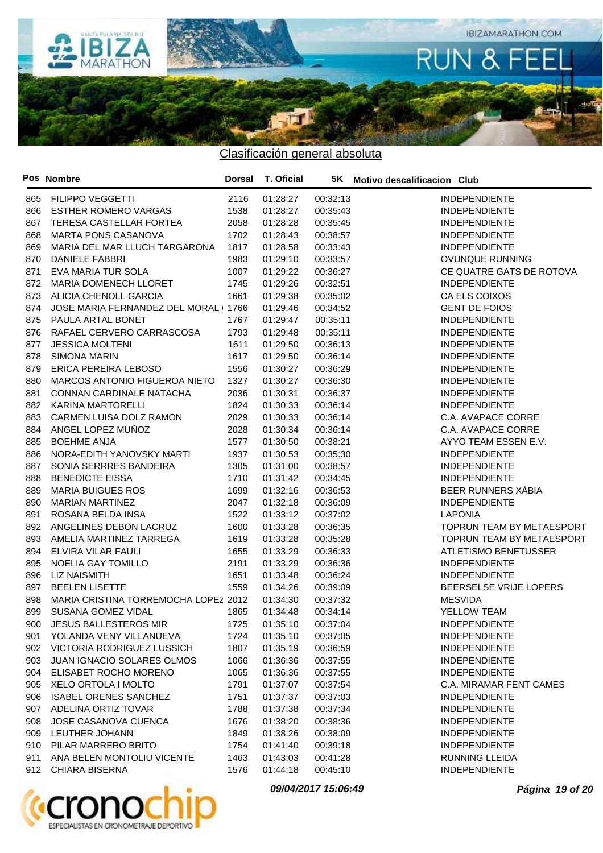

|     | Pos Nombre                           | Dorsal | T. Oficial |          | 5K Motivo descalificacion Club |
|-----|--------------------------------------|--------|------------|----------|--------------------------------|
| 865 | <b>FILIPPO VEGGETTI</b>              | 2116   | 01:28:27   | 00:32:13 | <b>INDEPENDIENTE</b>           |
| 866 | <b>ESTHER ROMERO VARGAS</b>          | 1538   | 01:28:27   | 00:35:43 | <b>INDEPENDIENTE</b>           |
| 867 | TERESA CASTELLAR FORTEA              | 2058   | 01:28:28   | 00:35:45 | <b>INDEPENDIENTE</b>           |
| 868 | <b>MARTA PONS CASANOVA</b>           | 1702   | 01:28:43   | 00:38:57 | <b>INDEPENDIENTE</b>           |
| 869 | MARIA DEL MAR LLUCH TARGARONA        | 1817   | 01:28:58   | 00:33:43 | <b>INDEPENDIENTE</b>           |
| 870 | <b>DANIELE FABBRI</b>                | 1983   | 01:29:10   | 00:33:57 | OVUNQUE RUNNING                |
| 871 | EVA MARIA TUR SOLA                   | 1007   | 01:29:22   | 00:36:27 | CE QUATRE GATS DE ROTOVA       |
| 872 | MARIA DOMENECH LLORET                | 1745   | 01:29:26   | 00:32:51 | <b>INDEPENDIENTE</b>           |
| 873 | ALICIA CHENOLL GARCIA                | 1661   | 01:29:38   | 00:35:02 | CA ELS COIXOS                  |
| 874 | JOSE MARIA FERNANDEZ DEL MORAL (1766 |        | 01:29:46   | 00:34:52 | <b>GENT DE FOIOS</b>           |
| 875 | PAULA ARTAL BONET                    | 1767   | 01:29:47   | 00:35:11 | <b>INDEPENDIENTE</b>           |
| 876 | RAFAEL CERVERO CARRASCOSA            | 1793   | 01:29:48   | 00:35:11 | <b>INDEPENDIENTE</b>           |
| 877 | <b>JESSICA MOLTENI</b>               | 1611   | 01:29:50   | 00:36:13 | <b>INDEPENDIENTE</b>           |
| 878 | <b>SIMONA MARIN</b>                  | 1617   | 01:29:50   | 00:36:14 | <b>INDEPENDIENTE</b>           |
| 879 | ERICA PEREIRA LEBOSO                 | 1556   | 01:30:27   | 00:36:29 | <b>INDEPENDIENTE</b>           |
| 880 | MARCOS ANTONIO FIGUEROA NIETO        | 1327   | 01:30:27   | 00:36:30 | <b>INDEPENDIENTE</b>           |
| 881 | CONNAN CARDINALE NATACHA             | 2036   | 01:30:31   | 00:36:37 | <b>INDEPENDIENTE</b>           |
| 882 | <b>KARINA MARTORELLI</b>             | 1824   | 01:30:33   | 00:36:14 | <b>INDEPENDIENTE</b>           |
| 883 | CARMEN LUISA DOLZ RAMON              | 2029   | 01:30:33   | 00:36:14 | C.A. AVAPACE CORRE             |
| 884 | ANGEL LOPEZ MUÑOZ                    | 2028   | 01:30:34   | 00:36:14 | C.A. AVAPACE CORRE             |
| 885 | <b>BOEHME ANJA</b>                   | 1577   | 01:30:50   | 00:38:21 | AYYO TEAM ESSEN E.V.           |
| 886 | NORA-EDITH YANOVSKY MARTI            | 1937   | 01:30:53   | 00:35:30 | <b>INDEPENDIENTE</b>           |
| 887 | SONIA SERRRES BANDEIRA               | 1305   | 01:31:00   | 00:38:57 | <b>INDEPENDIENTE</b>           |
| 888 | <b>BENEDICTE EISSA</b>               | 1710   | 01:31:42   | 00:34:45 | <b>INDEPENDIENTE</b>           |
| 889 | <b>MARIA BUIGUES ROS</b>             | 1699   | 01:32:16   | 00:36:53 | BEER RUNNERS XABIA             |
| 890 | <b>MARIAN MARTINEZ</b>               | 2047   | 01:32:18   | 00:36:09 | <b>INDEPENDIENTE</b>           |
| 891 | ROSANA BELDA INSA                    | 1522   | 01:33:12   | 00:37:02 | <b>LAPONIA</b>                 |
| 892 | ANGELINES DEBON LACRUZ               | 1600   | 01:33:28   | 00:36:35 | TOPRUN TEAM BY METAESPORT      |
| 893 | AMELIA MARTINEZ TARREGA              | 1619   | 01:33:28   | 00:35:28 | TOPRUN TEAM BY METAESPORT      |
| 894 | ELVIRA VILAR FAULI                   | 1655   | 01:33:29   | 00:36:33 | ATLETISMO BENETUSSER           |
| 895 | <b>NOELIA GAY TOMILLO</b>            | 2191   | 01:33:29   | 00:36:36 | <b>INDEPENDIENTE</b>           |
| 896 | <b>LIZ NAISMITH</b>                  | 1651   | 01:33:48   | 00:36:24 | <b>INDEPENDIENTE</b>           |
| 897 | <b>BEELEN LISETTE</b>                | 1559   | 01:34:26   | 00:39:09 | BEERSELSE VRIJE LOPERS         |
| 898 | MARIA CRISTINA TORREMOCHA LOPEZ 2012 |        | 01:34:30   | 00:37:32 | <b>MESVIDA</b>                 |
| 899 | SUSANA GOMEZ VIDAL                   | 1865   | 01:34:48   | 00:34:14 | YELLOW TEAM                    |
|     | 900 JESUS BALLESTEROS MIR            | 1725   | 01:35:10   | 00:37:04 | <b>INDEPENDIENTE</b>           |
|     | 901 YOLANDA VENY VILLANUEVA          | 1724   | 01:35:10   | 00:37:05 | <b>INDEPENDIENTE</b>           |
| 902 | VICTORIA RODRIGUEZ LUSSICH           | 1807   | 01:35:19   | 00:36:59 | <b>INDEPENDIENTE</b>           |
| 903 | <b>JUAN IGNACIO SOLARES OLMOS</b>    | 1066   | 01:36:36   | 00:37:55 | <b>INDEPENDIENTE</b>           |
| 904 | ELISABET ROCHO MORENO                | 1065   | 01:36:36   | 00:37:55 | <b>INDEPENDIENTE</b>           |
| 905 | XELO ORTOLA I MOLTO                  | 1791   | 01:37:07   | 00:37:54 | C.A. MIRAMAR FENT CAMES        |
| 906 | <b>ISABEL ORENES SANCHEZ</b>         | 1751   | 01:37:37   | 00:37:03 | <b>INDEPENDIENTE</b>           |
| 907 | ADELINA ORTIZ TOVAR                  | 1788   | 01:37:38   | 00:37:34 | <b>INDEPENDIENTE</b>           |
| 908 | JOSE CASANOVA CUENCA                 | 1676   | 01:38:20   | 00:38:36 | <b>INDEPENDIENTE</b>           |
| 909 | LEUTHER JOHANN                       | 1849   | 01:38:26   | 00:38:09 | <b>INDEPENDIENTE</b>           |
| 910 | PILAR MARRERO BRITO                  | 1754   | 01:41:40   | 00:39:18 | <b>INDEPENDIENTE</b>           |
| 911 | ANA BELEN MONTOLIU VICENTE           | 1463   | 01:43:03   | 00:41:28 | <b>RUNNING LLEIDA</b>          |
| 912 | <b>CHIARA BISERNA</b>                | 1576   | 01:44:18   | 00:45:10 | <b>INDEPENDIENTE</b>           |



**09/04/2017 15:06:49 Página 19 of 20**